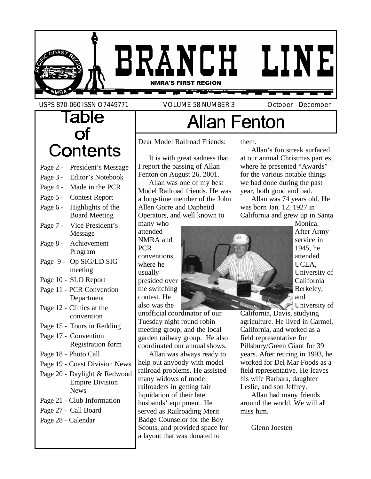

USPS 870-060 ISSN O7449771 VOLUME 58 NUMBER 3 October - December

### Table  $of$ Contents Page 2 - President's Message Page 3 - Editor's Notebook Page 4 - Made in the PCR Page 5 - Contest Report Page 6 - Highlights of the Board Meeting Page 7 - Vice President's Message Page 8 - Achievement Program Page 9 - Op SIG/LD SIG meeting Page 10 - SLO Report Page 11 - PCR Convention Department Page 12 - Clinics at the convention Page 15 - Tours in Redding Page 17 - Convention Registration form Page 18 - Photo Call Page 19 - Coast Division News Page 20 - Daylight & Redwood Empire Division News Page 21 - Club Information Page 27 - Call Board Page 28 - Calendar

# **Allan Fenton**

Dear Model Railroad Friends:

It is with great sadness that I report the passing of Allan Fenton on August 26, 2001.

Allan was one of my best Model Railroad friends. He was a long-time member of the John Allen Gorre and Daphetid Operators, and well known to

many who attended NMRA and PCR conventions, where he usually presided over the switching contest. He also was the

unofficial coordinator of our Tuesday night round robin meeting group, and the local garden railway group. He also coordinated our annual shows.

Allan was always ready to help out anybody with model railroad problems. He assisted many widows of model railroaders in getting fair liquidation of their late husbands' equipment. He served as Railroading Merit Badge Counselor for the Boy Scouts, and provided space for a layout that was donated to

them.

Allan's fun streak surfaced at our annual Christmas parties, where he presented "Awards" for the various notable things we had done during the past year, both good and bad.

Allan was 74 years old. He was born Jan. 12, 1927 in California and grew up in Santa



Monica. After Army service in 1945, he attended UCLA, University of California Berkeley, and University of

California, Davis, studying agriculture. He lived in Carmel, California, and worked as a field representative for Pillsbury/Green Giant for 39 years. After retiring in 1993, he worked for Del Mar Foods as a field representative. He leaves his wife Barbara, daughter Leslie, and son Jeffrey.

Allan had many friends around the world. We will all miss him.

Glenn Joesten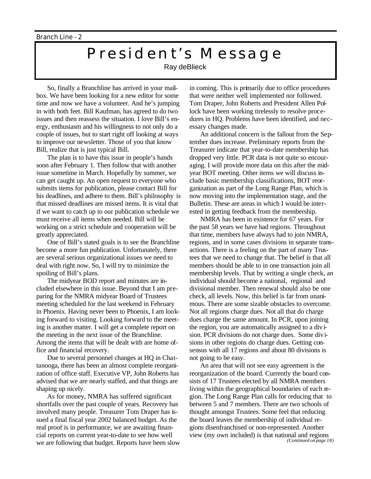## President's Message

Ray deBlieck

So, finally a Branchline has arrived in your mailbox. We have been looking for a new editor for some time and now we have a volunteer. And he's jumping in with both feet. Bill Kaufman, has agreed to do two issues and then reassess the situation. I love Bill's energy, enthusiasm and his willingness to not only do a couple of issues, but to start right off looking at ways to improve our newsletter. Those of you that know Bill, realize that is just typical Bill.

The plan is to have this issue in people's hands soon after February 1. Then follow that with another issue sometime in March. Hopefully by summer, we can get caught up. An open request to everyone who submits items for publication, please contact Bill for his deadlines, and adhere to them. Bill's philosophy is that missed deadlines are missed items. It is vital that if we want to catch up to our publication schedule we must receive all items when needed. Bill will be working on a strict schedule and cooperation will be greatly appreciated.

One of Bill's stated goals is to see the Branchline become a more fun publication. Unfortunately, there are several serious organizational issues we need to deal with right now. So, I will try to minimize the spoiling of Bill's plans.

The midyear BOD report and minutes are included elsewhere in this issue. Beyond that I am preparing for the NMRA midyear Board of Trustees meeting scheduled for the last weekend in February in Phoenix. Having never been to Phoenix, I am looking forward to visiting. Looking forward to the meeting is another matter. I will get a complete report on the meeting in the next issue of the Branchline. Among the items that will be dealt with are home office and financial recovery.

Due to several personnel changes at HQ in Chattanooga, there has been an almost complete reorganization of office staff. Executive VP, John Roberts has advised that we are nearly staffed, and that things are shaping up nicely.

As for money, NMRA has suffered significant shortfalls over the past couple of years. Recovery has involved many people. Treasurer Tom Draper has issued a final fiscal year 2002 balanced budget. As the real proof is in performance, we are awaiting financial reports on current year-to-date to see how well we are following that budget. Reports have been slow in coming. This is primarily due to office procedures that were neither well implemented nor followed. Tom Draper, John Roberts and President Allen Pollock have been working tirelessly to resolve procedures in HQ. Problems have been identified, and necessary changes made.

An additional concern is the fallout from the September dues increase. Preliminary reports from the Treasurer indicate that year-to-date membership has dropped very little. PCR data is not quite so encouraging. I will provide more data on this after the midyear BOT meeting. Other items we will discuss include basic membership classifications, BOT reorganization as part of the Long Range Plan, which is now moving into the implementation stage, and the Bulletin. These are areas in which I would be interested in getting feedback from the membership.

NMRA has been in existence for 67 years. For the past 58 years we have had regions. Throughout that time, members have always had to join NMRA, regions, and in some cases divisions in separate transactions. There is a feeling on the part of many Trustees that we need to change that. The belief is that all members should be able to in one transaction join all membership levels. That by writing a single check, an individual should become a national, regional and divisional member. Then renewal should also be one check, all levels. Now, this belief is far from unanimous. There are some sizable obstacles to overcome. Not all regions charge dues. Not all that do charge dues charge the same amount. In PCR, upon joining the region, you are automatically assigned to a division. PCR divisions do not charge dues. Some divisions in other regions do charge dues. Getting consensus with all 17 regions and about 80 divisions is not going to be easy.

An area that will not see easy agreement is the reorganization of the board. Currently the board consists of 17 Trustees elected by all NMRA members living within the geographical boundaries of each region. The Long Range Plan calls for reducing that to between 5 and 7 members. There are two schools of thought amongst Trustees. Some feel that reducing the board leaves the membership of individual regions disenfranchised or non-represented. Another view (my own included) is that national and regions *(Continued on page 18)*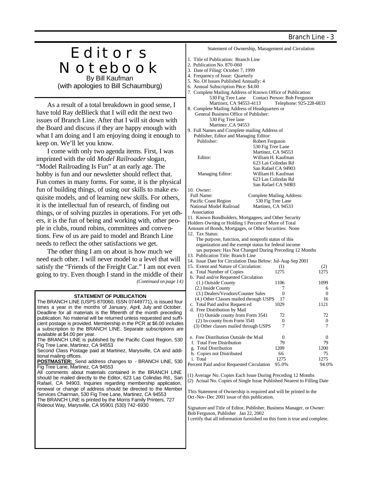## Editors Notebook By Bill Kaufman

(with apologies to Bill Schaumburg)

As a result of a total breakdown in good sense, I have told Ray deBlieck that I will edit the next two issues of Branch Line. After that I will sit down with the Board and discuss if they are happy enough with what I am doing and I am enjoying doing it enough to keep on. We'll let you know.

I come with only two agenda items. First, I was imprinted with the old *Model Railroader* slogan, "Model Railroading Is Fun" at an early age. The hobby is fun and our newsletter should reflect that. Fun comes in many forms. For some, it is the physical fun of building things, of using our skills to make exquisite models, and of learning new skills. For others, it is the intellectual fun of research, of finding out things, or of solving puzzles in operations. For yet others, it is the fun of being and working with, other people in clubs, round robins, committees and conventions. Few of us are paid to model and Branch Line needs to reflect the other satisfactions we get.

The other thing I am on about is how much we need each other. I will never model to a level that will satisfy the "Friends of the Freight Car." I am not even going to try. Even though I stand in the middle of their *(Continued on page 14)*

#### **STATEMENT OF PUBLICATION** The BRANCH LINE (USPS 870060, ISSN 07449771), is issued four times a year in the months of January, April, July and October. Deadline for all materials is the fifteenth of the month preceding publication. No material will be returned unless requested and sufficient postage is provided. Membership in the PCR at \$6.00 includes a subscription to the BRANCH LINE. Separate subscriptions are available at \$4.00 per year. The BRANCH LINE is published by the Pacific Coast Region, 530 Fig Tree Lane, Martinez, CA 94553 Second Class Postage paid at Martinez, Marysville, CA and additional mailing offices. **POSTMASTER:** Send address changes to - BRANCH LINE, 530 Fig Tree Lane, Martinez, CA 94553 All comments about materials contained in the BRANCH LINE should be mailed directly to the Editor, 623 Las Colindas Rd., San Rafael, CA 94903. Inquiries regarding membership application, renewal or change of address should be directed to the Member Services Chairman, 530 Fig Tree Lane, Martinez, CA 94553 The BRANCH LINE is printed by the Morris Family Printers, 727 Rideout Way, Marysville, CA 95901 (530) 742-6930 (3.) Dealers/Vendors/Counter Sales 0 0 (4.) Other Classes mailed through USPS c. Total Paid and/or Request ed 1029 1121 d. Free Distribution by Mail (1) Outside county from Form 3541 72 72<br>
2) In-county from Form 3541 0 0 0 (2) In-county from Form 3541 0 0 (3) Other classes mailed through USPS e. Free Distribution Outside the Mail 0 0 f. Total Free Distribution 79 79<br>g. Total Distribution 1209 1200 g. Total Distribution h. Copies not Distributed 66 75<br>
i. Total 1275 1275 1275 i. Total 1275 1275 Percent Paid and/or Requested Circulation 95.0% 94.0% (1) Average No. Copies Each Issue During Preceding 12 Months (2) Actual No. Copies of Single Issue Published Nearest to Filling Date This Statement of Ownership is required and will be printed in the Oct-Nov-Dec 2001 issue of this publication. Signature and Title of Editor, Publisher, Business Manager, or Owner: Bob Ferguson, Publisher Jan 22, 2002 I certify that all information furnished on this form is true and complete.

Statement of Ownership, Management and Circulation

- 1. Title of Publication: Branch Line
- 2. Publication No. 870-060
- 3. Date of Filing: October 7, 1999
- 4. Frequency of Issue: Quarterly 5. No. Of Issues Published Annually: 4
- 6. Annual Subscription Price: \$4.00
- 7. Complete Mailing Address of Known Office of Publication: 530 Fig Tree Lane Contact Person: Bob Ferguson<br>Martinez, CA 94553-4113 Telephone: 925-228-6833 Martinez, CA 94553-4113
- 8. Complete Mailing Address of Headquarters or General Business Office of Publisher: 530 Fig Tree lane Martinez ,CA 94553
- 9. Full Names and Complete mailing Address of Publisher, Editor and Managing Editor:
- Publisher: Robert Ferguson 530 Fig Tree Lane Martinez, CA 94553 Editor: William H. Kaufman 623 Las Colindas Rd San Rafael CA 94903<br>Managing Editor: William H. Kaufman William H. Kaufman 623 Las Colindas Rd San Rafael CA 94903

10. Owner:

Complete Mailing Address: Pacific Coast Region 530 Fig Tree Lane

 National Model Railroad Martinez, CA 94533 Association

11. Known Bondholders, Mortgagees, and Other Security Holders Owning or Holding 1 Percent of More of Total Amount of Bonds, Mortgages, or Other Securities: None 12. Tax Status: The purpose, function, and nonprofit status of this organization and the exempt status for federal income tax purposes: Has Not Changed During Preceding 12 Months

- 13. Publication Title: Branch Line 14. Issue Date for Circulation Data Below: Jul-Aug-Sep 2001
- 
- 15. Extent and Nature of Circulation: (1) (2)<br>
a. Total Number of Copies 1275 1275 a. Total Number of Copies b. Paid and/or Requested Circulation
	- (1.) Outside County 1106 1099 (2.) Inside County  $\begin{array}{cc} 7 & 6 \\ (3.) \text{ Deales/Veradors/Counter Sales} & 0 & 0 \end{array}$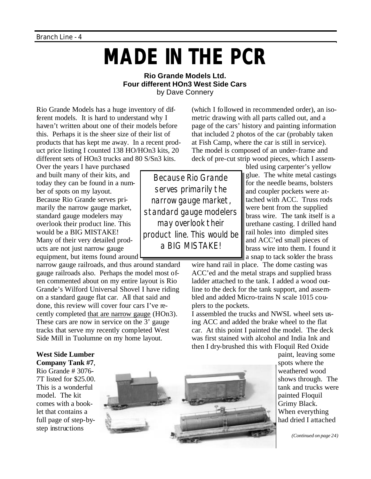# **MADE IN THE PCR**

#### **Rio Grande Models Ltd. Four different HOn3 West Side Cars** by Dave Connery

Rio Grande Models has a huge inventory of different models. It is hard to understand why I haven't written about one of their models before this. Perhaps it is the sheer size of their list of products that has kept me away. In a recent product price listing I counted 138 HO/HOn3 kits, 20 different sets of HOn3 trucks and 80 S/Sn3 kits.

Over the years I have purchased and built many of their kits, and today they can be found in a number of spots on my layout. Because Rio Grande serves primarily the narrow gauge market, standard gauge modelers may overlook their product line. This would be a BIG MISTAKE! Many of their very detailed products are not just narrow gauge equipment, but items found around

narrow gauge railroads, and thus around standard gauge railroads also. Perhaps the model most often commented about on my entire layout is Rio Grande's Wilford Universal Shovel I have riding on a standard gauge flat car. All that said and done, this review will cover four cars I've recently completed that are narrow gauge (HOn3). These cars are now in service on the 3' gauge tracks that serve my recently completed West Side Mill in Tuolumne on my home layout.

page of the cars' history and painting information that included 2 photos of the car (probably taken at Fish Camp, where the car is still in service). The model is composed of an under-frame and deck of pre-cut strip wood pieces, which I assembled using carpenter's yellow

(which I followed in recommended order), an isometric drawing with all parts called out, and a

> glue. The white metal castings for the needle beams, bolsters and coupler pockets were attached with ACC. Truss rods were bent from the supplied brass wire. The tank itself is a urethane casting. I drilled hand rail holes into dimpled sites and ACC'ed small pieces of brass wire into them. I found it a snap to tack solder the brass

wire hand rail in place. The dome casting was ACC'ed and the metal straps and supplied brass ladder attached to the tank. I added a wood outline to the deck for the tank support, and assembled and added Micro-trains N scale 1015 couplers to the pockets.

I assembled the trucks and NWSL wheel sets using ACC and added the brake wheel to the flat car. At this point I painted the model. The deck was first stained with alcohol and India Ink and then I dry-brushed this with Floquil Red Oxide

#### **West Side Lumber**

**Company Tank #7**, Rio Grande # 3076- 7T listed for \$25.00. This is a wonderful model. The kit comes with a booklet that contains a full page of step-bystep instructions



paint, leaving some spots where the weathered wood shows through. The tank and trucks were painted Floquil Grimy Black. When everything had dried I attached

*(Continued on page 24)*

Because Rio Grande serves primarily the narrow gauge market, standard gauge modelers may overlook their product line. This would be a BIG MISTAKE!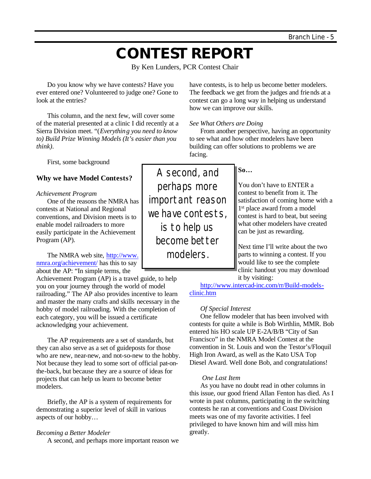## **CONTEST REPORT**

By Ken Lunders, PCR Contest Chair

Do you know why we have contests? Have you ever entered one? Volunteered to judge one? Gone to look at the entries?

This column, and the next few, will cover some of the material presented at a clinic I did recently at a Sierra Division meet. "(*Everything you need to know to) Build Prize Winning Models (It's easier than you think)*.

First, some background

#### **Why we have Model Contests?**

#### *Achievement Program*

One of the reasons the NMRA has contests at National and Regional conventions, and Division meets is to enable model railroaders to more easily participate in the Achievement Program (AP).

The NMRA web site, http://www. nmra.org/achievement/ has this to say about the AP: "In simple terms, the

Achievement Program (AP) is a travel guide, to help you on your journey through the world of model railroading." The AP also provides incentive to learn and master the many crafts and skills necessary in the hobby of model railroading. With the completion of each category, you will be issued a certificate acknowledging your achievement.

The AP requirements are a set of standards, but they can also serve as a set of guideposts for those who are new, near-new, and not-so-new to the hobby. Not because they lead to some sort of official pat-onthe-back, but because they are a source of ideas for projects that can help us learn to become better modelers.

Briefly, the AP is a system of requirements for demonstrating a superior level of skill in various aspects of our hobby…

#### *Becoming a Better Modeler*

A second, and perhaps more important reason we

have contests, is to help us become better modelers. The feedback we get from the judges and friends at a contest can go a long way in helping us understand how we can improve our skills.

*See What Others are Doing*

From another perspective, having an opportunity to see what and how other modelers have been building can offer solutions to problems we are facing.

A second, and perhaps more important reason we have contests, is to help us become better modelers.

#### **So…**

You don't have to ENTER a contest to benefit from it. The satisfaction of coming home with a 1 st place award from a model contest is hard to beat, but seeing what other modelers have created can be just as rewarding.

Next time I'll write about the two parts to winning a contest. If you would like to see the complete clinic handout you may download it by visiting:

http://www.intercad-inc.com/rr/Build-modelsclinic.htm

#### *Of Special Interest*

One fellow modeler that has been involved with contests for quite a while is Bob Wirthlin, MMR. Bob entered his HO scale UP E-2A/B/B "City of San Francisco" in the NMRA Model Contest at the convention in St. Louis and won the Testor's/Floquil High Iron Award, as well as the Kato USA Top Diesel Award. Well done Bob, and congratulations!

#### *One Last Item*

As you have no doubt read in other columns in this issue, our good friend Allan Fenton has died. As I wrote in past columns, participating in the switching contests he ran at conventions and Coast Division meets was one of my favorite activities. I feel privileged to have known him and will miss him greatly.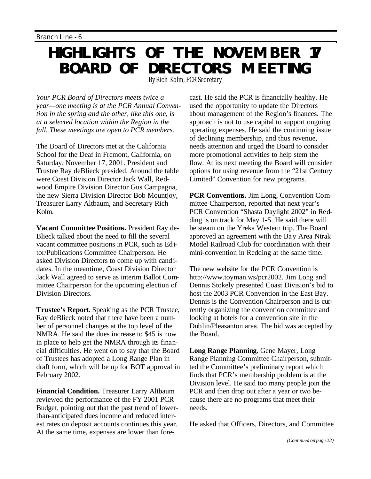## **HIGHLIGHTS OF THE NOVEMBER 17 BOARD OF DIRECTORS MEETING** By Rich Kolm, PCR Secretary

*Your PCR Board of Directors meets twice a year—one meeting is at the PCR Annual Convention in the spring and the other, like this one, is at a selected location within the Region in the fall. These meetings are open to PCR members.*

The Board of Directors met at the California School for the Deaf in Fremont, California, on Saturday, November 17, 2001. President and Trustee Ray deBlieck presided. Around the table were Coast Division Director Jack Wall, Redwood Empire Division Director Gus Campagna, the new Sierra Division Director Bob Mountjoy, Treasurer Larry Altbaum, and Secretary Rich Kolm.

**Vacant Committee Positions.** President Ray de-Blieck talked about the need to fill the several vacant committee positions in PCR, such as Editor/Publications Committee Chairperson. He asked Division Directors to come up with candidates. In the meantime, Coast Division Director Jack Wall agreed to serve as interim Ballot Committee Chairperson for the upcoming election of Division Directors.

**Trustee's Report.** Speaking as the PCR Trustee, Ray deBlieck noted that there have been a number of personnel changes at the top level of the NMRA. He said the dues increase to \$45 is now in place to help get the NMRA through its financial difficulties. He went on to say that the Board of Trustees has adopted a Long Range Plan in draft form, which will be up for BOT approval in February 2002.

**Financial Condition.** Treasurer Larry Altbaum reviewed the performance of the FY 2001 PCR Budget, pointing out that the past trend of lowerthan-anticipated dues income and reduced interest rates on deposit accounts continues this year. At the same time, expenses are lower than forecast. He said the PCR is financially healthy. He used the opportunity to update the Directors about management of the Region's finances. The approach is not to use capital to support ongoing operating expenses. He said the continuing issue of declining membership, and thus revenue, needs attention and urged the Board to consider more promotional activities to help stem the flow. At its next meeting the Board will consider options for using revenue from the "21st Century Limited" Convention for new programs.

**PCR Conventions.** Jim Long, Convention Committee Chairperson, reported that next year's PCR Convention "Shasta Daylight 2002" in Redding is on track for May 1-5. He said there will be steam on the Yreka Western trip. The Board approved an agreement with the Bay Area Ntrak Model Railroad Club for coordination with their mini-convention in Redding at the same time.

The new website for the PCR Convention is http://www.toyman.ws/pcr2002. Jim Long and Dennis Stokely presented Coast Division's bid to host the 2003 PCR Convention in the East Bay. Dennis is the Convention Chairperson and is currently organizing the convention committee and looking at hotels for a convention site in the Dublin/Pleasanton area. The bid was accepted by the Board.

**Long Range Planning.** Gene Mayer, Long Range Planning Committee Chairperson, submitted the Committee's preliminary report which finds that PCR's membership problem is at the Division level. He said too many people join the PCR and then drop out after a year or two because there are no programs that meet their needs.

He asked that Officers, Directors, and Committee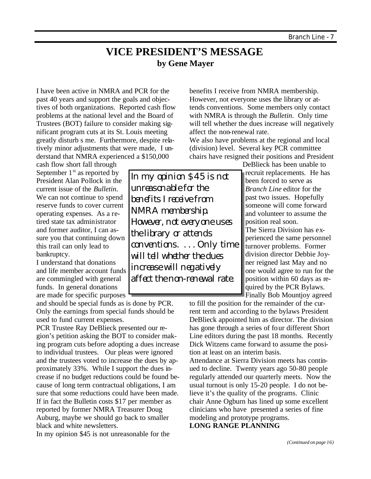### **VICE PRESIDENT'S MESSAGE by Gene Mayer**

I have been active in NMRA and PCR for the past 40 years and support the goals and objectives of both organizations. Reported cash flow problems at the national level and the Board of Trustees (BOT) failure to consider making significant program cuts at its St. Louis meeting greatly disturb s me. Furthermore, despite relatively minor adjustments that were made, I understand that NMRA experienced a \$150,000

cash flow short fall through September  $1<sup>st</sup>$  as reported by President Alan Pollock in the current issue of the *Bulletin*. We can not continue to spend reserve funds to cover current operating expenses. As a retired state tax administrator and former auditor, I can assure you that continuing down this trail can only lead to bankruptcy.

I understand that donations and life member account funds are commingled with general funds. In general donations are made for specific purposes

and should be special funds as is done by PCR. Only the earnings from special funds should be used to fund current expenses.

PCR Trustee Ray DeBlieck presented our region's petition asking the BOT to consider making program cuts before adopting a dues increase to individual trustees. Our pleas were ignored and the trustees voted to increase the dues by approximately 33%. While I support the dues increase if no budget reductions could be found because of long term contractual obligations, I am sure that some reductions could have been made. If in fact the Bulletin costs \$17 per member as reported by former NMRA Treasurer Doug Auburg, maybe we should go back to smaller black and white newsletters.

In my opinion \$45 is not unreasonable for the

In my opinion \$45 is not unreasonable for the benefits I receive from NMRA membership. However, not everyone uses the library or attends conventions. . . . Only time will tell whether the dues increase will negatively affect the non-renewal rate.

benefits I receive from NMRA membership. However, not everyone uses the library or attends conventions. Some members only contact with NMRA is through the *Bulletin*. Only time will tell whether the dues increase will negatively affect the non-renewal rate.

We also have problems at the regional and local (division) level. Several key PCR committee chairs have resigned their positions and President

DeBlieck has been unable to recruit replacements. He has been forced to serve as *Branch Line* editor for the past two issues. Hopefully someone will come forward and volunteer to assume the position real soon. The Sierra Division has ex-

perienced the same personnel turnover problems. Former division director Debbie Joyner reigned last May and no one would agree to run for the position within 60 days as required by the PCR Bylaws. Finally Bob Mountjoy agreed

to fill the position for the remainder of the current term and according to the bylaws President DeBlieck appointed him as director. The division has gone through a series of four different Short Line editors during the past 18 months. Recently Dick Witzens came forward to assume the position at least on an interim basis.

Attendance at Sierra Division meets has continued to decline. Twenty years ago 50-80 people regularly attended our quarterly meets. Now the usual turnout is only 15-20 people. I do not believe it's the quality of the programs. Clinic chair Anne Ogburn has lined up some excellent clinicians who have presented a series of fine modeling and prototype programs. **LONG RANGE PLANNING**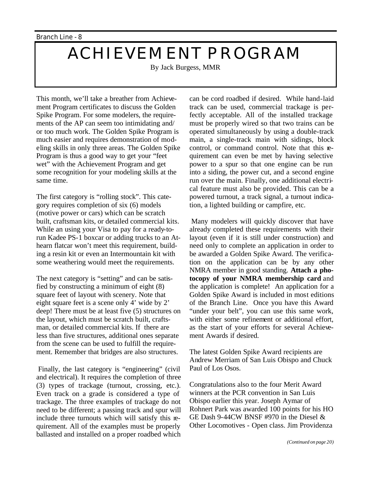## **ACHIEVEMENT PROGRAM**

By Jack Burgess, MMR

This month, we'll take a breather from Achievement Program certificates to discuss the Golden Spike Program. For some modelers, the requirements of the AP can seem too intimidating and/ or too much work. The Golden Spike Program is much easier and requires demonstration of modeling skills in only three areas. The Golden Spike Program is thus a good way to get your "feet wet" with the Achievement Program and get some recognition for your modeling skills at the same time.

The first category is "rolling stock". This category requires completion of six (6) models (motive power or cars) which can be scratch built, craftsman kits, or detailed commercial kits. While an using your Visa to pay for a ready-torun Kadee PS-1 boxcar or adding trucks to an Athearn flatcar won't meet this requirement, building a resin kit or even an Intermountain kit with some weathering would meet the requirements.

The next category is "setting" and can be satisfied by constructing a minimum of eight (8) square feet of layout with scenery. Note that eight square feet is a scene only 4' wide by 2' deep! There must be at least five (5) structures on the layout, which must be scratch built, craftsman, or detailed commercial kits. If there are less than five structures, additional ones separate from the scene can be used to fulfill the requirement. Remember that bridges are also structures.

Finally, the last category is "engineering" (civil and electrical). It requires the completion of three (3) types of trackage (turnout, crossing, etc.). Even track on a grade is considered a type of trackage. The three examples of trackage do not need to be different; a passing track and spur will include three turnouts which will satisfy this requirement. All of the examples must be properly ballasted and installed on a proper roadbed which can be cord roadbed if desired. While hand-laid track can be used, commercial trackage is perfectly acceptable. All of the installed trackage must be properly wired so that two trains can be operated simultaneously by using a double-track main, a single-track main with sidings, block control, or command control. Note that this requirement can even be met by having selective power to a spur so that one engine can be run into a siding, the power cut, and a second engine run over the main. Finally, one additional electrical feature must also be provided. This can be a powered turnout, a track signal, a turnout indication, a lighted building or campfire, etc.

Many modelers will quickly discover that have already completed these requirements with their layout (even if it is still under construction) and need only to complete an application in order to be awarded a Golden Spike Award. The verification on the application can be by any other NMRA member in good standing. **Attach a photocopy of your NMRA membership card** and the application is complete! An application for a Golden Spike Award is included in most editions of the Branch Line. Once you have this Award "under your belt", you can use this same work, with either some refinement or additional effort, as the start of your efforts for several Achievement Awards if desired.

The latest Golden Spike Award recipients are Andrew Merriam of San Luis Obispo and Chuck Paul of Los Osos.

Congratulations also to the four Merit Award winners at the PCR convention in San Luis Obispo earlier this year. Joseph Aymar of Rohnert Park was awarded 100 points for his HO GE Dash 9-44CW BNSF #970 in the Diesel & Other Locomotives - Open class. Jim Providenza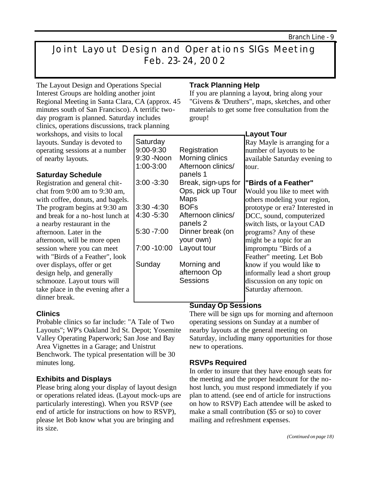## Joint Layout Design and Operations SIGs Meeting Feb. 23-24, 2002

9:00-9:30 Registration 9:30 -Noon Morning clinics 1:00-3:00 Afternoon clinics/ panels 1 3:00 -3:30 Break, sign-ups for

3:30 -4:30 BOFs

**Maps** 

your own)

afternoon Op **Sessions** 

4:30 -5:30 Afternoon clinics/ panels 2 5:30 -7:00 Dinner break (on

7:00 -10:00 Layout tour

Sunday Morning and

The Layout Design and Operations Special Interest Groups are holding another joint Regional Meeting in Santa Clara, CA (approx. 45 minutes south of San Francisco). A terrific twoday program is planned. Saturday includes clinics, operations discussions, track planning

**Saturday** 

workshops, and visits to local layouts. Sunday is devoted to operating sessions at a number of nearby layouts.

#### **Saturday Schedule**

Registration and general chitchat from 9:00 am to 9:30 am, with coffee, donuts, and bagels. The program begins at 9:30 am and break for a no-host lunch at a nearby restaurant in the afternoon. Later in the afternoon, will be more open session where you can meet with "Birds of a Feather", look over displays, offer or get design help, and generally schmooze. Layout tours will take place in the evening after a dinner break.

#### **Clinics**

Probable clinics so far include: "A Tale of Two Layouts"; WP's Oakland 3rd St. Depot; Yosemite Valley Operating Paperwork; San Jose and Bay Area Vignettes in a Garage; and Unistrut Benchwork. The typical presentation will be 30 minutes long.

#### **Exhibits and Displays**

Please bring along your display of layout design or operations related ideas. (Layout mock-ups are particularly interesting). When you RSVP (see end of article for instructions on how to RSVP), please let Bob know what you are bringing and its size.

#### **Track Planning Help**

Ops, pick up Tour

If you are planning a layout, bring along your "Givens & 'Druthers", maps, sketches, and other materials to get some free consultation from the group!

#### **Layout Tour**

Ray Mayle is arranging for a number of layouts to be available Saturday evening to tour.

#### **"Birds of a Feather"**

Would you like to meet with others modeling your region, prototype or era? Interested in DCC, sound, computerized switch lists, or layout CAD programs? Any of these might be a topic for an impromptu "Birds of a Feather" meeting. Let Bob know if you would like to informally lead a short group discussion on any topic on Saturday afternoon.

#### **Sunday Op Sessions**

There will be sign ups for morning and afternoon operating sessions on Sunday at a number of nearby layouts at the general meeting on Saturday, including many opportunities for those new to operations.

#### **RSVPs Required**

In order to insure that they have enough seats for the meeting and the proper headcount for the nohost lunch, you must respond immediately if you plan to attend. (see end of article for instructions on how to RSVP) Each attendee will be asked to make a small contribution (\$5 or so) to cover mailing and refreshment expenses.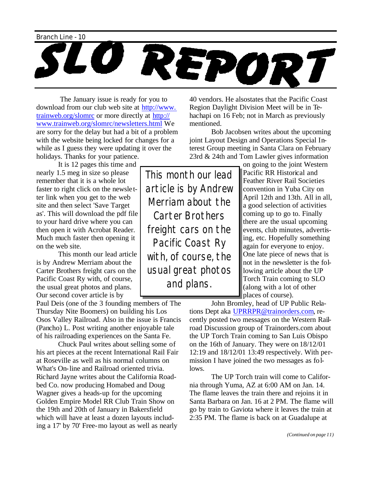

The January issue is ready for you to download from our club web site at http://www. trainweb.org/slomrc or more directly at http:// www.trainweb.org/slomrc/newsletters.html We are sorry for the delay but had a bit of a problem with the website being locked for changes for a while as I guess they were updating it over the holidays. Thanks for your patience.

It is 12 pages this time and

nearly 1.5 meg in size so please remember that it is a whole lot faster to right click on the newsle tter link when you get to the web site and then select 'Save Target as'. This will download the pdf file to your hard drive where you can then open it with Acrobat Reader. Much much faster then opening it on the web site.

This month our lead article is by Andrew Merriam about the Carter Brothers freight cars on the Pacific Coast Ry with, of course, the usual great photos and plans. Our second cover article is by

Paul Deis (one of the 3 founding members of The Thursday Nite Boomers) on building his Los Osos Valley Railroad. Also in the issue is Francis (Pancho) L. Post writing another enjoyable tale of his railroading experiences on the Santa Fe.

Chuck Paul writes about selling some of his art pieces at the recent International Rail Fair at Roseville as well as his normal columns on What's On-line and Railroad oriented trivia. Richard Jayne writes about the California Roadbed Co. now producing Homabed and Doug Wagner gives a heads-up for the upcoming Golden Empire Model RR Club Train Show on the 19th and 20th of January in Bakersfield which will have at least a dozen layouts including a 17' by 70' Free-mo layout as well as nearly

40 vendors. He alsostates that the Pacific Coast Region Daylight Division Meet will be in Tehachapi on 16 Feb; not in March as previously mentioned.

Bob Jacobsen writes about the upcoming joint Layout Design and Operations Special Interest Group meeting in Santa Clara on February 23rd & 24th and Tom Lawler gives information

This month our lead article is by Andrew Merriam about the Carter Brothers freight cars on the Pacific Coast Ry with, of course, the usual great photos and plans.

on going to the joint Western Pacific RR Historical and Feather River Rail Societies convention in Yuba City on April 12th and 13th. All in all, a good selection of activities coming up to go to. Finally there are the usual upcoming events, club minutes, advertising, etc. Hopefully something again for everyone to enjoy. One late piece of news that is not in the newsletter is the following article about the UP Torch Train coming to SLO (along with a lot of other places of course).

John Bromley, head of UP Public Relations Dept aka UPRRPR@trainorders.com, recently posted two messages on the Western Railroad Discussion group of Trainorders.com about the UP Torch Train coming to San Luis Obispo on the 16th of January. They were on 18/12/01 12:19 and 18/12/01 13:49 respectively. With permission I have joined the two messages as follows.

The UP Torch train will come to California through Yuma, AZ at 6:00 AM on Jan. 14. The flame leaves the train there and rejoins it in Santa Barbara on Jan. 16 at 2 PM. The flame will go by train to Gaviota where it leaves the train at 2:35 PM. The flame is back on at Guadalupe at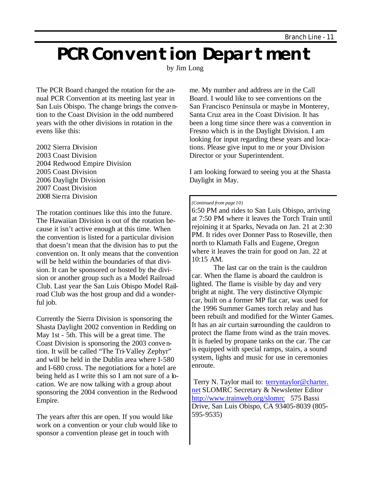# **PCR Convention Department**

by Jim Long

The PCR Board changed the rotation for the annual PCR Convention at its meeting last year in San Luis Obispo. The change brings the convention to the Coast Division in the odd numbered years with the other divisions in rotation in the evens like this:

2002 Sierra Division 2003 Coast Division 2004 Redwood Empire Division 2005 Coast Division 2006 Daylight Division 2007 Coast Division 2008 Sierra Division

The rotation continues like this into the future. The Hawaiian Division is out of the rotation because it isn't active enough at this time. When the convention is listed for a particular division that doesn't mean that the division has to put the convention on. It only means that the convention will be held within the boundaries of that division. It can be sponsored or hosted by the division or another group such as a Model Railroad Club. Last year the San Luis Obispo Model Railroad Club was the host group and did a wonderful job.

Currently the Sierra Division is sponsoring the Shasta Daylight 2002 convention in Redding on May 1st - 5th. This will be a great time. The Coast Division is sponsoring the 2003 convention. It will be called "The Tri-Valley Zephyr" and will be held in the Dublin area where I-580 and I-680 cross. The negotiations for a hotel are being held as I write this so I am not sure of a location. We are now talking with a group about sponsoring the 2004 convention in the Redwood Empire.

The years after this are open. If you would like work on a convention or your club would like to sponsor a convention please get in touch with

me. My number and address are in the Call Board. I would like to see conventions on the San Francisco Peninsula or maybe in Monterey, Santa Cruz area in the Coast Division. It has been a long time since there was a convention in Fresno which is in the Daylight Division. I am looking for input regarding these years and locations. Please give input to me or your Division Director or your Superintendent.

I am looking forward to seeing you at the Shasta Daylight in May.

#### *(Continued from page 10)*

6:50 PM and rides to San Luis Obispo, arriving at 7:50 PM where it leaves the Torch Train until rejoining it at Sparks, Nevada on Jan. 21 at 2:30 PM. It rides over Donner Pass to Roseville, then north to Klamath Falls and Eugene, Oregon where it leaves the train for good on Jan. 22 at 10:15 AM.

The last car on the train is the cauldron car. When the flame is aboard the cauldron is lighted. The flame is visible by day and very bright at night. The very distinctive Olympic car, built on a former MP flat car, was used for the 1996 Summer Games torch relay and has been rebuilt and modified for the Winter Games. It has an air curtain surrounding the cauldron to protect the flame from wind as the train moves. It is fueled by propane tanks on the car. The car is equipped with special ramps, stairs, a sound system, lights and music for use in ceremonies enroute.

Terry N. Taylor mail to: terryntaylor@charter. net SLOMRC Secretary & Newsletter Editor http://www.trainweb.org/slomrc 575 Bassi Drive, San Luis Obispo, CA 93405-8039 (805- 595-9535)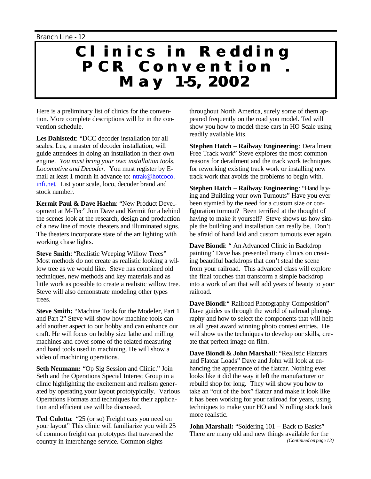## **Clinics in Redding PCR Convention . May 1-5, 2002**

Here is a preliminary list of clinics for the convention. More complete descriptions will be in the convention schedule.

**Les Dahlstedt**: "DCC decoder installation for all scales. Les, a master of decoder installation, will guide attendees in doing an installation in their own engine. *You must bring your own installation tools, Locomotive and Decoder.* You must register by Email at least 1 month in advance to: ntrak@hotcoco. infi.net. List your scale, loco, decoder brand and stock number.

**Kermit Paul & Dave Haehn**: "New Product Development at M-Tec" Join Dave and Kermit for a behind the scenes look at the research, design and production of a new line of movie theaters and illuminated signs. The theaters incorporate state of the art lighting with working chase lights.

**Steve Smith**: "Realistic Weeping Willow Trees" Most methods do not create as realistic looking a willow tree as we would like. Steve has combined old techniques, new methods and key materials and as little work as possible to create a realistic willow tree. Steve will also demonstrate modeling other types trees.

**Steve Smith:** "Machine Tools for the Modeler, Part 1 and Part 2" Steve will show how machine tools can add another aspect to our hobby and can enhance our craft. He will focus on hobby size lathe and milling machines and cover some of the related measuring and hand tools used in machining. He will show a video of machining operations.

**Seth Neumann:** "Op Sig Session and Clinic." Join Seth and the Operations Special Interest Group in a clinic highlighting the excitement and realism generated by operating your layout prototypically. Various Operations Formats and techniques for their applic ation and efficient use will be discussed.

**Ted Culotta**: "25 (or so) Freight cars you need on your layout" This clinic will familiarize you with 25 of common freight car prototypes that traversed the country in interchange service. Common sights

throughout North America, surely some of them appeared frequently on the road you model. Ted will show you how to model these cars in HO Scale using readily available kits.

**Stephen Hatch – Railway Engineering**: Derailment Free Track work" Steve explores the most common reasons for derailment and the track work techniques for reworking existing track work or installing new track work that avoids the problems to begin with.

**Stephen Hatch – Railway Engineering**: "Hand laying and Building your own Turnouts" Have you ever been stymied by the need for a custom size or configuration turnout? Been terrified at the thought of having to make it yourself? Steve shows us how simple the building and installation can really be. Don't be afraid of hand laid and custom turnouts ever again.

**Dave Biondi**: " An Advanced Clinic in Backdrop painting" Dave has presented many clinics on creating beautiful backdrops that don't steal the scene from your railroad. This advanced class will explore the final touches that transform a simple backdrop into a work of art that will add years of beauty to your railroad.

**Dave Biondi**:" Railroad Photography Composition" Dave guides us through the world of railroad photography and how to select the components that will help us all great award winning photo contest entries. He will show us the techniques to develop our skills, create that perfect image on film.

**Dave Biondi & John Marshall**: "Realistic Flatcars and Flatcar Loads" Dave and John will look at enhancing the appearance of the flatcar. Nothing ever looks like it did the way it left the manufacturer or rebuild shop for long. They will show you how to take an "out of the box" flatcar and make it look like it has been working for your railroad for years, using techniques to make your HO and N rolling stock look more realistic.

**John Marshall:** "Soldering 101 – Back to Basics" There are many old and new things available for the *(Continued on page 13)*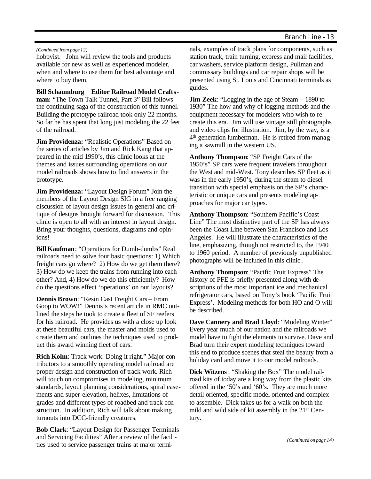#### *(Continued from page 12)*

hobbyist. John will review the tools and products available for new as well as experienced modeler, when and where to use them for best advantage and where to buy them.

**Bill Schaumburg Editor Railroad Model Craftsman:** "The Town Talk Tunnel, Part 3" Bill follows the continuing saga of the construction of this tunnel. Building the prototype railroad took only 22 months. So far he has spent that long just modeling the 22 feet of the railroad.

**Jim Providenza: "Realistic Operations" Based on** the series of articles by Jim and Rick Kang that appeared in the mid 1990's, this clinic looks at the themes and issues surrounding operations on our model railroads shows how to find answers in the prototype.

**Jim Providenza:** "Layout Design Forum" Join the members of the Layout Design SIG in a free ranging discussion of layout design issues in general and critique of designs brought forward for discussion. This clinic is open to all with an interest in layout design. Bring your thoughts, questions, diagrams and opinions!

**Bill Kaufman**: "Operations for Dumb-dumbs" Real railroads need to solve four basic questions: 1) Which freight cars go where? 2) How do we get them there? 3) How do we keep the trains from running into each other? And, 4) How do we do this efficiently? How do the questions effect 'operations' on our layouts?

**Dennis Brown**: "Resin Cast Freight Cars – From Goop to WOW!" Dennis's recent article in RMC outlined the steps he took to create a fleet of SF reefers for his railroad. He provides us with a close up look at these beautiful cars, the master and molds used to create them and outlines the techniques used to product this award winning fleet of cars.

**Rich Kolm**: Track work: Doing it right." Major contributors to a smoothly operating model railroad are proper design and construction of track work. Rich will touch on compromises in modeling, minimum standards, layout planning considerations, spiral easements and super-elevation, helixes, limitations of grades and different types of roadbed and track construction. In addition, Rich will talk about making turnouts into DCC-friendly creatures.

**Bob Clark**: "Layout Design for Passenger Terminals and Servicing Facilities" After a review of the facilities used to service passenger trains at major terminals, examples of track plans for components, such as station track, train turning, express and mail facilities, car washers, service platform design, Pullman and commissary buildings and car repair shops will be presented using St. Louis and Cincinnati terminals as guides.

**Jim Zeek:** "Logging in the age of Steam – 1890 to 1930" The how and why of logging methods and the equipment necessary for modelers who wish to recreate this era. Jim will use vintage still photographs and video clips for illustration. Jim, by the way, is a 4 th generation lumberman. He is retired from managing a sawmill in the western US.

**Anthony Thompson**: "SP Freight Cars of the 1950's" SP cars were frequent travelers throughout the West and mid-West. Tony describes SP fleet as it was in the early 1950's, during the steam to diesel transition with special emphasis on the SP's characteristic or unique cars and presents modeling approaches for major car types.

**Anthony Thompson**: "Southern Pacific's Coast Line" The most distinctive part of the SP has always been the Coast Line between San Francisco and Los Angeles. He will illustrate the characteristics of the line, emphasizing, though not restricted to, the 1940 to 1960 period. A number of previously unpublished photographs will be included in this clinic .

**Anthony Thompson**: "Pacific Fruit Express" The history of PFE is briefly presented along with descriptions of the most important ice and mechanical refrigerator cars, based on Tony's book 'Pacific Fruit Express'. Modeling methods for both HO and O will be described.

**Dave Cannery and Brad Lloyd**: "Modeling Winter" Every year much of our nation and the railroads we model have to fight the elements to survive. Dave and Brad turn their expert modeling techniques toward this end to produce scenes that steal the beauty from a holiday card and move it to our model railroads.

**Dick Witzens**: "Shaking the Box" The model railroad kits of today are a long way from the plastic kits offered in the '50's and '60's. They are much more detail oriented, specific model oriented and complex to assemble. Dick takes us for a walk on both the mild and wild side of kit assembly in the 21st Century.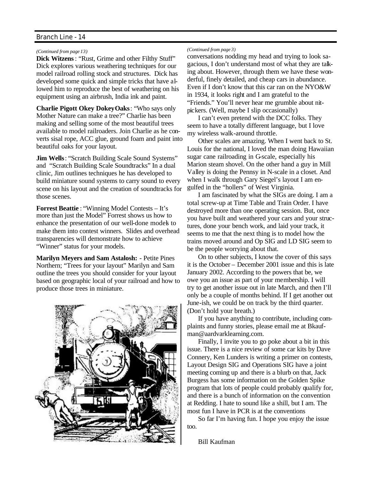*(Continued from page 13)*

**Dick Witzens**: "Rust, Grime and other Filthy Stuff" Dick explores various weathering techniques for our model railroad rolling stock and structures. Dick has developed some quick and simple tricks that have allowed him to reproduce the best of weathering on his equipment using an airbrush, India ink and paint.

**Charlie Pigott Okey Dokey Oaks**: "Who says only Mother Nature can make a tree?" Charlie has been making and selling some of the most beautiful trees available to model railroaders. Join Charlie as he converts sisal rope, ACC glue, ground foam and paint into beautiful oaks for your layout.

**Jim Wells**: "Scratch Building Scale Sound Systems" and "Scratch Building Scale Soundtracks" In a dual clinic, Jim outlines techniques he has developed to build miniature sound systems to carry sound to every scene on his layout and the creation of soundtracks for those scenes.

**Forrest Beattie** : "Winning Model Contests – It's more than just the Model" Forrest shows us how to enhance the presentation of our well-done models to make them into contest winners. Slides and overhead transparencies will demonstrate how to achieve "Winner" status for your models.

**Marilyn Meyers and Sam Astalosh:** - Petite Pines Northern; "Trees for your layout" Marilyn and Sam outline the trees you should consider for your layout based on geographic local of your railroad and how to produce those trees in miniature.



#### *(Continued from page 3)*

conversations nodding my head and trying to look sagacious, I don't understand most of what they are talking about. However, through them we have these wonderful, finely detailed, and cheap cars in abundance. Even if I don't know that this car ran on the NYO&W in 1934, it looks right and I am grateful to the "Friends." You'll never hear me grumble about nitpickers. (Well, maybe I slip occasionally)

I can't even pretend with the DCC folks. They seem to have a totally different language, but I love my wireless walk-around throttle.

Other scales are amazing. When I went back to St. Louis for the national, I loved the man doing Hawaiian sugar cane railroading in G-scale, especially his Marion steam shovel. On the other hand a guy in Mill Valley is doing the Pennsy in N-scale in a closet. And when I walk through Gary Siegel's layout I am engulfed in the "hollers" of West Virginia.

I am fascinated by what the SIGs are doing. I am a total screw-up at Time Table and Train Order. I have destroyed more than one operating session. But, once you have built and weathered your cars and your structures, done your bench work, and laid your track, it seems to me that the next thing is to model how the trains moved around and Op SIG and LD SIG seem to be the people worrying about that.

On to other subjects, I know the cover of this says it is the October – December 2001 issue and this is late January 2002. According to the powers that be, we owe you an issue as part of your membership. I will try to get another issue out in late March, and then I'll only be a couple of months behind. If I get another out June-ish, we could be on track by the third quarter. (Don't hold your breath.)

If you have anything to contribute, including complaints and funny stories, please email me at Bkaufman@aardvarklearning.com.

Finally, I invite you to go poke about a bit in this issue. There is a nice review of some car kits by Dave Connery, Ken Lunders is writing a primer on contests, Layout Design SIG and Operations SIG have a joint meeting coming up and there is a blurb on that, Jack Burgess has some information on the Golden Spike program that lots of people could probably qualify for, and there is a bunch of information on the convention at Redding. I hate to sound like a shill, but I am. The most fun I have in PCR is at the conventions

So far I'm having fun. I hope you enjoy the issue too.

Bill Kaufman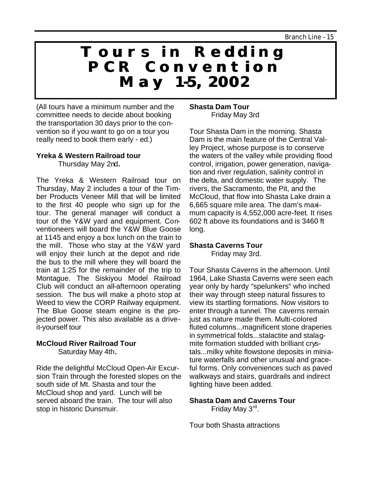## **Tours in Redding PCR Convention May 1-5, 2002**

(All tours have a minimum number and the committee needs to decide about booking the transportation 30 days prior to the convention so if you want to go on a tour you really need to book them early - ed.)

#### **Yreka & Western Railroad tour** Thursday May 2nd**.**

The Yreka & Western Railroad tour on Thursday, May 2 includes a tour of the Timber Products Veneer Mill that will be limited to the first 40 people who sign up for the tour. The general manager will conduct a tour of the Y&W yard and equipment. Conventioneers will board the Y&W Blue Goose at 1145 and enjoy a box lunch on the train to the mill. Those who stay at the Y&W yard will enjoy their lunch at the depot and ride the bus to the mill where they will board the train at 1:25 for the remainder of the trip to Montague. The Siskiyou Model Railroad Club will conduct an all-afternoon operating session. The bus will make a photo stop at Weed to view the CORP Railway equipment. The Blue Goose steam engine is the projected power. This also available as a driveit-yourself tour

#### **McCloud River Railroad Tour**

Saturday May 4th**.**

Ride the delightful McCloud Open-Air Excursion Train through the forested slopes on the south side of Mt. Shasta and tour the McCloud shop and yard. Lunch will be served aboard the train. The tour will also stop in historic Dunsmuir.

#### **Shasta Dam Tour** Friday May 3rd

Tour Shasta Dam in the morning. Shasta Dam is the main feature of the Central Valley Project, whose purpose is to conserve the waters of the valley while providing flood control, irrigation, power generation, navigation and river regulation, salinity control in the delta, and domestic water supply. The rivers, the Sacramento, the Pit, and the McCloud, that flow into Shasta Lake drain a 6,665 square mile area. The dam's maximum capacity is 4,552,000 acre-feet. It rises 602 ft above its foundations and is 3460 ft long.

#### **Shasta Caverns Tour**

Friday may 3rd.

Tour Shasta Caverns in the afternoon. Until 1964, Lake Shasta Caverns were seen each year only by hardy "spelunkers" who inched their way through steep natural fissures to view its startling formations. Now visitors to enter through a tunnel. The caverns remain just as nature made them. Multi-colored fluted columns...magnificent stone draperies in symmetrical folds...stalactite and stalagmite formation studded with brilliant crystals...milky white flowstone deposits in miniature waterfalls and other unusual and graceful forms. Only conveniences such as paved walkways and stairs, guardrails and indirect lighting have been added.

#### **Shasta Dam and Caverns Tour**

Friday May 3<sup>rd</sup>.

Tour both Shasta attractions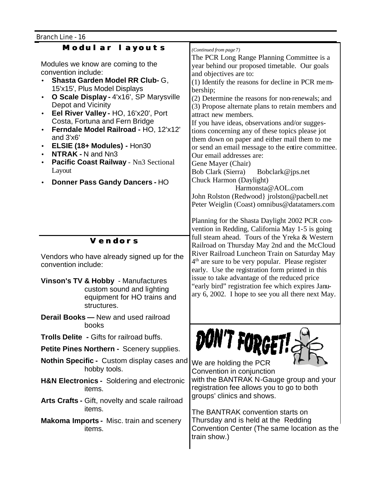| <b>Branch Line - 16</b>                                                                                                                                                                                                                                                                                                                                                                                                                                                                                                     |                                                                                                                                                                                                                                                                                                                                                                                                                                                                                                                                                                                                                                                                                                                                                                                                                                                                                                             |  |  |
|-----------------------------------------------------------------------------------------------------------------------------------------------------------------------------------------------------------------------------------------------------------------------------------------------------------------------------------------------------------------------------------------------------------------------------------------------------------------------------------------------------------------------------|-------------------------------------------------------------------------------------------------------------------------------------------------------------------------------------------------------------------------------------------------------------------------------------------------------------------------------------------------------------------------------------------------------------------------------------------------------------------------------------------------------------------------------------------------------------------------------------------------------------------------------------------------------------------------------------------------------------------------------------------------------------------------------------------------------------------------------------------------------------------------------------------------------------|--|--|
| Modul ar I ayouts<br>Modules we know are coming to the<br>convention include:<br>Shasta Garden Model RR Club- G,<br>15'x15', Plus Model Displays<br>O Scale Display - 4'x16', SP Marysville<br>$\bullet$<br>Depot and Vicinity<br>Eel River Valley - HO, 16'x20', Port<br>$\bullet$<br>Costa, Fortuna and Fern Bridge<br>Ferndale Model Railroad - HO, 12'x12'<br>and 3'x6'<br>ELSIE (18+ Modules) - Hon30<br><b>NTRAK - N and Nn3</b><br>Pacific Coast Railway - Nn3 Sectional<br>Layout<br>Donner Pass Gandy Dancers - HO | (Continued from page 7)<br>The PCR Long Range Planning Committee is a<br>year behind our proposed timetable. Our goals<br>and objectives are to:<br>(1) Identify the reasons for decline in PCR mem-<br>bership;<br>(2) Determine the reasons for non-renewals; and<br>(3) Propose alternate plans to retain members and<br>attract new members.<br>If you have ideas, observations and/or sugges-<br>tions concerning any of these topics please jot<br>them down on paper and either mail them to me<br>or send an email message to the entire committee.<br>Our email addresses are:<br>Gene Mayer (Chair)<br>Bob Clark (Sierra)<br>Bobclark@jps.net<br>Chuck Harmon (Daylight)<br>Harmonsta@AOL.com<br>John Rolston (Redwood) jrolston@pacbell.net<br>Peter Weiglin (Coast) omnibus@datatamers.com<br>Planning for the Shasta Daylight 2002 PCR con-<br>vention in Redding, California May 1-5 is going |  |  |
| <b>Vendors</b>                                                                                                                                                                                                                                                                                                                                                                                                                                                                                                              | full steam ahead. Tours of the Yreka & Western                                                                                                                                                                                                                                                                                                                                                                                                                                                                                                                                                                                                                                                                                                                                                                                                                                                              |  |  |
|                                                                                                                                                                                                                                                                                                                                                                                                                                                                                                                             | Railroad on Thursday May 2nd and the McCloud                                                                                                                                                                                                                                                                                                                                                                                                                                                                                                                                                                                                                                                                                                                                                                                                                                                                |  |  |
| Vendors who have already signed up for the<br>convention include:                                                                                                                                                                                                                                                                                                                                                                                                                                                           | River Railroad Luncheon Train on Saturday May<br>4 <sup>th</sup> are sure to be very popular. Please register<br>early. Use the registration form printed in this                                                                                                                                                                                                                                                                                                                                                                                                                                                                                                                                                                                                                                                                                                                                           |  |  |
| Vinson's TV & Hobby - Manufactures<br>custom sound and lighting<br>equipment for HO trains and<br>structures.                                                                                                                                                                                                                                                                                                                                                                                                               | issue to take advantage of the reduced price<br>"early bird" registration fee which expires Janu-<br>ary 6, 2002. I hope to see you all there next May.                                                                                                                                                                                                                                                                                                                                                                                                                                                                                                                                                                                                                                                                                                                                                     |  |  |
| <b>Derail Books - New and used railroad</b><br>books                                                                                                                                                                                                                                                                                                                                                                                                                                                                        |                                                                                                                                                                                                                                                                                                                                                                                                                                                                                                                                                                                                                                                                                                                                                                                                                                                                                                             |  |  |
| <b>Trolls Delite - Gifts for railroad buffs.</b>                                                                                                                                                                                                                                                                                                                                                                                                                                                                            |                                                                                                                                                                                                                                                                                                                                                                                                                                                                                                                                                                                                                                                                                                                                                                                                                                                                                                             |  |  |
| Petite Pines Northern - Scenery supplies.                                                                                                                                                                                                                                                                                                                                                                                                                                                                                   | DON'T FORGET!                                                                                                                                                                                                                                                                                                                                                                                                                                                                                                                                                                                                                                                                                                                                                                                                                                                                                               |  |  |
| <b>Nothin Specific - Custom display cases and</b><br>hobby tools.                                                                                                                                                                                                                                                                                                                                                                                                                                                           | We are holding the PCR<br>Convention in conjunction                                                                                                                                                                                                                                                                                                                                                                                                                                                                                                                                                                                                                                                                                                                                                                                                                                                         |  |  |

- **H&N Electronics -** Soldering and electronic items.
- **Arts Crafts -** Gift, novelty and scale railroad items.
- **Makoma Imports -** Misc. train and scenery items.

with the BANTRAK N-Gauge group and your registration fee allows you to go to both groups' clinics and shows.

The BANTRAK convention starts on Thursday and is held at the Redding Convention Center (The same location as the train show.)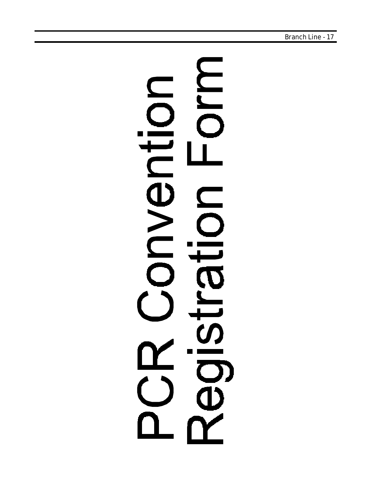# **MIQ** Oito  $\boldsymbol{\overline{\Phi}}$  $\geq$ Olla egls  $\blacksquare$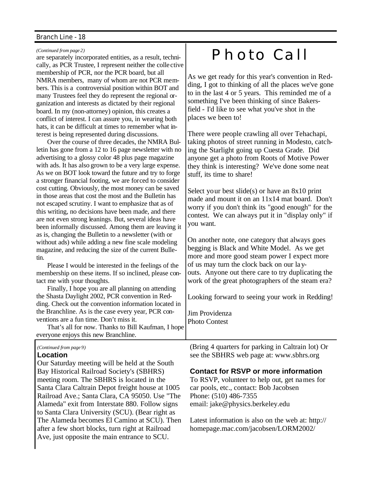#### *(Continued from page 2)*

are separately incorporated entities, as a result, technically, as PCR Trustee, I represent neither the colle ctive membership of PCR, nor the PCR board, but all NMRA members, many of whom are not PCR members. This is a controversial position within BOT and many Trustees feel they do represent the regional organization and interests as dictated by their regional board. In my (non-attorney) opinion, this creates a conflict of interest. I can assure you, in wearing both hats, it can be difficult at times to remember what interest is being represented during discussions.

Over the course of three decades, the NMRA Bulletin has gone from a 12 to 16 page newsletter with no advertising to a glossy color 48 plus page magazine with ads. It has also grown to be a very large expense. As we on BOT look toward the future and try to forge a stronger financial footing, we are forced to consider cost cutting. Obviously, the most money can be saved in those areas that cost the most and the Bulletin has not escaped scrutiny. I want to emphasize that as of this writing, no decisions have been made, and there are not even strong leanings. But, several ideas have been informally discussed. Among them are leaving it as is, changing the Bulletin to a newsletter (with or without ads) while adding a new fine scale modeling magazine, and reducing the size of the current Bulletin.

Please I would be interested in the feelings of the membership on these items. If so inclined, please contact me with your thoughts.

Finally, I hope you are all planning on attending the Shasta Daylight 2002, PCR convention in Redding. Check out the convention information located in the Branchline. As is the case every year, PCR conventions are a fun time. Don't miss it.

That's all for now. Thanks to Bill Kaufman, I hope everyone enjoys this new Branchline.

#### *(Continued from page 9)*

#### **Location**

Our Saturday meeting will be held at the South Bay Historical Railroad Society's (SBHRS) meeting room. The SBHRS is located in the Santa Clara Caltrain Depot freight house at 1005 Railroad Ave.; Santa Clara, CA 95050. Use "The Alameda" exit from Interstate 880. Follow signs to Santa Clara University (SCU). (Bear right as The Alameda becomes El Camino at SCU). Then after a few short blocks, turn right at Railroad Ave, just opposite the main entrance to SCU.

## Photo Call

As we get ready for this year's convention in Redding, I got to thinking of all the places we've gone to in the last 4 or 5 years. This reminded me of a something I've been thinking of since Bakersfield - I'd like to see what you've shot in the places we been to!

There were people crawling all over Tehachapi, taking photos of street running in Modesto, catching the Starlight going up Cuesta Grade. Did anyone get a photo from Roots of Motive Power they think is interesting? We've done some neat stuff, its time to share!

Select your best slide(s) or have an 8x10 print made and mount it on an 11x14 mat board. Don't worry if you don't think its "good enough" for the contest. We can always put it in "display only" if you want.

On another note, one category that always goes begging is Black and White Model. As we get more and more good steam power I expect more of us may turn the clock back on our layouts. Anyone out there care to try duplicating the work of the great photographers of the steam era?

Looking forward to seeing your work in Redding!

Jim Providenza Photo Contest

(Bring 4 quarters for parking in Caltrain lot) Or see the SBHRS web page at: www.sbhrs.org

#### **Contact for RSVP or more information**

To RSVP, volunteer to help out, get names for car pools, etc., contact: Bob Jacobsen Phone: (510) 486-7355 email: jake@physics.berkeley.edu

Latest information is also on the web at: http:// homepage.mac.com/jacobsen/LORM2002/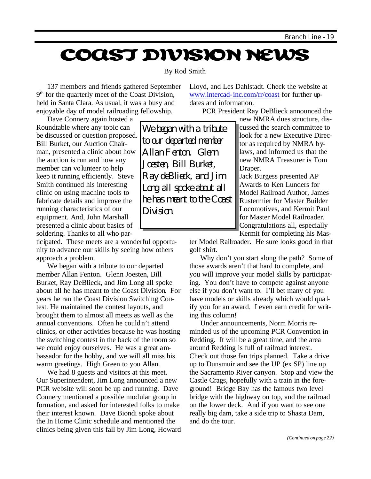## **COAST DIVISION NEWS**

#### By Rod Smith

137 members and friends gathered September 9<sup>th</sup> for the quarterly meet of the Coast Division, held in Santa Clara. As usual, it was a busy and enjoyable day of model railroading fellowship.

Lloyd, and Les Dahlstadt. Check the website at www.intercad-inc.com/rr/coast for further updates and information.

PCR President Ray DeBlieck announced the

Dave Connery again hosted a Roundtable where any topic can be discussed or question proposed. Bill Burket, our Auction Chairman, presented a clinic about how the auction is run and how any member can volunteer to help keep it running efficiently. Steve Smith continued his interesting clinic on using machine tools to fabricate details and improve the running characteristics of our equipment. And, John Marshall presented a clinic about basics of soldering. Thanks to all who par-

ticipated. These meets are a wonderful opportunity to advance our skills by seeing how others approach a problem.

We began with a tribute to our departed member Allan Fenton. Glenn Joesten, Bill Burket, Ray DeBlieck, and Jim Long all spoke about all he has meant to the Coast Division. For years he ran the Coast Division Switching Contest. He maintained the contest layouts, and brought them to almost all meets as well as the annual conventions. Often he couldn't attend clinics, or other activities because he was hosting the switching contest in the back of the room so we could enjoy ourselves. He was a great ambassador for the hobby, and we will all miss his warm greetings. High Green to you Allan.

We had 8 guests and visitors at this meet. Our Superintendent, Jim Long announced a new PCR website will soon be up and running. Dave Connery mentioned a possible modular group in formation, and asked for interested folks to make their interest known. Dave Biondi spoke about the In Home Clinic schedule and mentioned the clinics being given this fall by Jim Long, Howard

We began with a tribute to our departed member Allan Fenton. Glenn Joesten, Bill Burket, Ray deBlieck, and Jim Long all spoke about all he has meant to the Coast Division.

new NMRA dues structure, discussed the search committee to look for a new Executive Director as required by NMRA bylaws, and informed us that the new NMRA Treasurer is Tom Draper.

Jack Burgess presented AP Awards to Ken Lunders for Model Railroad Author, James Rustermier for Master Builder Locomotives, and Kermit Paul for Master Model Railroader. Congratulations all, especially Kermit for completing his Mas-

ter Model Railroader. He sure looks good in that golf shirt.

Why don't you start along the path? Some of those awards aren't that hard to complete, and you will improve your model skills by participating. You don't have to compete against anyone else if you don't want to. I'll bet many of you have models or skills already which would qua lify you for an award. I even earn credit for writing this column!

Under announcements, Norm Morris reminded us of the upcoming PCR Convention in Redding. It will be a great time, and the area around Redding is full of railroad interest. Check out those fan trips planned. Take a drive up to Dunsmuir and see the UP (ex SP) line up the Sacramento River canyon. Stop and view the Castle Crags, hopefully with a train in the foreground! Bridge Bay has the famous two level bridge with the highway on top, and the railroad on the lower deck. And if you want to see one really big dam, take a side trip to Shasta Dam, and do the tour.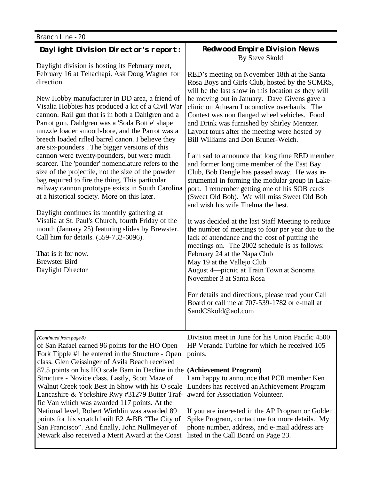That is it for now. Brewster Bird Daylight Director

#### **Daylight Division Director's report:**

Daylight division is hosting its February meet, February 16 at Tehachapi. Ask Doug Wagner for direction.

New Hobby manufacturer in DD area, a friend of Visalia Hobbies has produced a kit of a Civil War cannon. Rail gun that is in both a Dahlgren and a Parrot gun. Dahlgren was a 'Soda Bottle' shape muzzle loader smooth-bore, and the Parrot was a breech loaded rifled barrel canon. I believe they are six-pounders . The bigger versions of this cannon were twenty-pounders, but were much scarcer. The 'pounder' nomenclature refers to the size of the projectile, not the size of the powder bag required to fire the thing. This particular railway cannon prototype exists in South Carolina at a historical society. More on this later.

Daylight continues its monthly gathering at Visalia at St. Paul's Church, fourth Friday of the month (January 25) featuring slides by Brewster. Call him for details. (559-732-6096).

**Redwood Empire Division News** By Steve Skold

RED's meeting on November 18th at the Santa Rosa Boys and Girls Club, hosted by the SCMRS, will be the last show in this location as they will be moving out in January. Dave Givens gave a clinic on Athearn Locomotive overhauls. The Contest was non flanged wheel vehicles. Food and Drink was furnished by Shirley Mentzer. Layout tours after the meeting were hosted by Bill Williams and Don Bruner-Welch.

I am sad to announce that long time RED member and former long time member of the East Bay Club, Bob Dengle has passed away. He was instrumental in forming the modular group in Lakeport. I remember getting one of his SOB cards (Sweet Old Bob). We will miss Sweet Old Bob and wish his wife Thelma the best.

It was decided at the last Staff Meeting to reduce the number of meetings to four per year due to the lack of attendance and the cost of putting the meetings on. The 2002 schedule is as follows: February 24 at the Napa Club May 19 at the Vallejo Club August 4—picnic at Train Town at Sonoma November 3 at Santa Rosa

For details and directions, please read your Call Board or call me at 707-539-1782 or e-mail at SandCSkold@aol.com

*(Continued from page 8)* of San Rafael earned 96 points for the HO Open Fork Tipple #1 he entered in the Structure - Open points. class. Glen Geissinger of Avila Beach received 87.5 points on his HO scale Barn in Decline in the **(Achievement Program)** Structure - Novice class. Lastly, Scott Maze of Walnut Creek took Best In Show with his O scale Lunders has received an Achievement Program Lancashire & Yorkshire Rwy #31279 Butter Traffic Van which was awarded 117 points. At the National level, Robert Wirthlin was awarded 89 points for his scratch built E2 A-BB "The City of San Francisco". And finally, John Nullmeyer of Newark also received a Merit Award at the Coast

Division meet in June for his Union Pacific 4500 HP Veranda Turbine for which he received 105

I am happy to announce that PCR member Ken award for Association Volunteer.

If you are interested in the AP Program or Golden Spike Program, contact me for more details. My phone number, address, and e-mail address are listed in the Call Board on Page 23.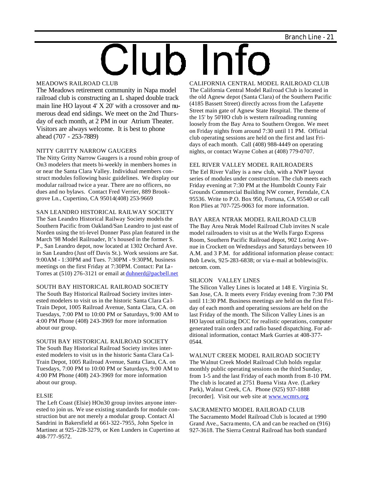# Club Info

#### MEADOWS RAILROAD CLUB

The Meadows retirement community in Napa model railroad club is constructing an L shaped double track main line HO layout 4' X 20' with a crossover and numerous dead end sidings. We meet on the 2nd Thursday of each month, at 2 PM in our Atrium Theater. Visitors are always welcome. It is best to phone ahead (707 - 253-7889)

#### NITTY GRITTY NARROW GAUGERS

The Nitty Gritty Narrow Gaugers is a round robin group of On3 modelers that meets bi-weekly in members homes in or near the Santa Clara Valley. Individual members construct modules following basic guidelines. We display our modular railroad twice a year. There are no officers, no dues and no bylaws. Contact Fred Verrier, 889 Brookgrove Ln., Cupertino, CA 95014(408) 253-9669

#### SAN LEANDRO HISTORICAL RAILWAY SOCIETY

The San Leandro Historical Railway Society models the Southern Pacific from Oakland/San Leandro to just east of Norden using the tri-level Donner Pass plan featured in the March '98 Model Railroader, It's housed in the former S. P., San Leandro depot, now located at 1302 Orchard Ave. in San Leandro (Just off Davis St.). Work sessions are Sat. 9:00AM - 1:30PM and Tues. 7:30PM - 9:30PM, business meetings on the first Friday at 7:30PM. Contact: Pat La-Torres at (510) 276-3121 or email at duhnerd@pacbell.net

#### SOUTH BAY HISTORICAL RAILROAD SOCIETY The South Bay Historical Railroad Society invites inter-

ested modelers to visit us in the historic Santa Clara Ca l-Train Depot, 1005 Railroad Avenue, Santa Clara, CA. on Tuesdays, 7:00 PM to 10:00 PM or Saturdays, 9:00 AM to 4:00 PM Phone (408) 243-3969 for more information about our group.

#### SOUTH BAY HISTORICAL RAILROAD SOCIETY

The South Bay Historical Railroad Society invites interested modelers to visit us in the historic Santa Clara Ca l-Train Depot, 1005 Railroad Avenue, Santa Clara, CA. on Tuesdays, 7:00 PM to 10:00 PM or Saturdays, 9:00 AM to 4:00 PM Phone (408) 243-3969 for more information about our group.

#### ELSIE

The Left Coast (Elsie) HOn30 group invites anyone interested to join us. We use existing standards for module construction but are not merely a modular group. Contact Al Sandrini in Bakersfield at 661-322-7955, John Spelce in Martinez at 925-228-3279, or Ken Lunders in Cupertino at 408-777-9572.

CALIFORNIA CENTRAL MODEL RAILROAD CLUB The California Central Model Railroad Club is located in the old Agnew depot (Santa Clara) of the Southern Pacific (4185 Bassett Street) directly across from the Lafayette Street main gate of Agnew State Hospital. The theme of the 15' by 50'HO club is western railroading running loosely from the Bay Area to Southern Oregon. We meet on Friday nights from around 7:30 until 11 PM. Official club operating sessions are held on the first and last Fridays of each month. Call (408) 988-4449 on operating nights, or contact Wayne Cohen at (408) 779-0707.

#### EEL RIVER VALLEY MODEL RAILROADERS

The Eel River Valley is a new club, with a NWP layout series of modules under construction. The club meets each Friday evening at 7:30 PM at the Humboldt County Fair Grounds Commercial Building NW corner, Ferndale, CA 95536. Write to P.O. Box 950, Fortuna, CA 95540 or call Ron Plies at 707-725-9063 for more information.

#### BAY AREA NTRAK MODEL RAILROAD CLUB

The Bay Area Ntrak Model Railroad Club invites N scale model railroaders to visit us at the Wells Fargo Express Room, Southern Pacific Railroad depot, 902 Loring Avenue in Crockett on Wednesdays and Saturdays between 10 A.M. and 3 P.M. for additional information please contact: Bob Lewis, 925-283-6838; or via e-mail at boblewis@ix. netcom. com.

#### SILICON VALLEY LINES

The Silicon Valley Lines is located at 148 E. Virginia St. San Jose, CA. It meets every Friday evening from 7:30 PM until 11:30 PM. Business meetings are held on the first Friday of each month and operating sessions are held on the last Friday of the month. The Silicon Valley Lines is an HO layout utilizing DCC for realistic operations, computer generated train orders and radio based dispatching. For additional information, contact Mark Gurries at 408-377- 0544.

#### WALNUT CREEK MODEL RAILROAD SOCIETY The Walnut Creek Model Railroad Club holds regular monthly public operating sessions on the third Sunday, from 1-5 and the last Friday of each month from 8-10 PM. The club is located at 2751 Buena Vista Ave. (Larkey Park), Walnut Creek, CA. Phone (925) 937-1888 [recorder]. Visit our web site at www.wcmrs.org

#### SACRAMENTO MODEL RAILROAD CLUB

The Sacramento Model Railroad Club is located at 1990 Grand Ave., Sacra mento, CA and can be reached on (916) 927-3618. The Sierra Central Railroad has both standard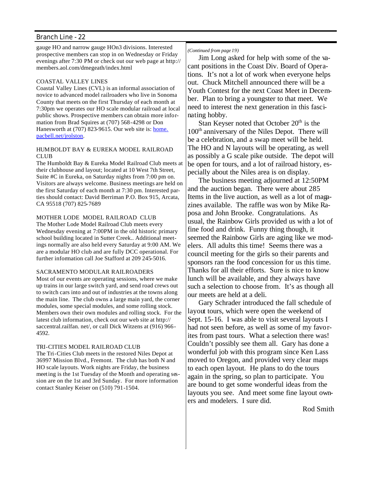gauge HO and narrow gauge HOn3 divisions. Interested prospective members can stop in on Wednesday or Friday evenings after 7:30 PM or check out our web page at http:// members.aol.com/dmegeath/index.html

#### COASTAL VALLEY LINES

Coastal Valley Lines (CVL) is an informal association of novice to advanced model railroaders who live in Sonoma County that meets on the first Thursday of each month at 7:30pm we operates our HO scale modular railroad at local public shows. Prospective members can obtain more information from Brad Squires at (707) 568-4298 or Don Hanesworth at (707) 823-9615. Our web site is: **home.** pacbell.net/jrolston.

#### HUMBOLDT BAY & EUREKA MODEL RAILROAD CLUB

The Humboldt Bay & Eureka Model Railroad Club meets at their clubhouse and layout; located at 10 West 7th Street, Suite #C in Eureka, on Saturday nights from 7:00 pm on. Visitors are always welcome. Business meetings are held on the first Saturday of each month at 7:30 pm. Interested parties should contact: David Berriman P.O. Box 915, Arcata, CA 95518 (707) 825-7689

#### MOTHER LODE MODEL RAILROAD CLUB

The Mother Lode Model Railroad Club meets every Wednesday evening at 7:00PM in the old historic primary school building located in Sutter Creek.. Additional meetings normally are also held every Saturday at 9:00 AM. We are a modular HO club and are fully DCC operational. For further information call Joe Stafford at 209 245-5016.

#### SACRAMENTO MODULAR RAILROADERS

Most of our events are operating sessions, where we make up trains in our large switch yard, and send road crews out to switch cars into and out of industries at the towns along the main line. The club owns a large main yard, the corner modules, some special modules, and some rolling stock. Members own their own modules and rolling stock. For the latest club information, check out our web site at http:// saccentral.railfan. net/, or call Dick Witzens at (916) 966- 4592.

#### TRI-CITIES MODEL RAILROAD CLUB

The Tri-Cities Club meets in the restored Niles Depot at 36997 Mission Blvd., Fremont. The club has both N and HO scale layouts. Work nights are Friday, the business meeting is the 1st Tuesday of the Month and operating session are on the 1st and 3rd Sunday. For more information contact Stanley Keiser on (510) 791-1504.

#### *(Continued from page 19)*

Jim Long asked for help with some of the vacant positions in the Coast Div. Board of Operations. It's not a lot of work when everyone helps out. Chuck Mitchell announced there will be a Youth Contest for the next Coast Meet in December. Plan to bring a youngster to that meet. We need to interest the next generation in this fascinating hobby.

Stan Keyser noted that October 20<sup>th</sup> is the 100<sup>th</sup> anniversary of the Niles Depot. There will be a celebration, and a swap meet will be held. The HO and N layouts will be operating, as well as possibly a G scale pike outside. The depot will be open for tours, and a lot of railroad history, especially about the Niles area is on display.

The business meeting adjourned at 12:50PM and the auction began. There were about 285 Items in the live auction, as well as a lot of magazines available. The raffle was won by Mike Raposa and John Brooke. Congratulations. As usual, the Rainbow Girls provided us with a lot of fine food and drink. Funny thing though, it seemed the Rainbow Girls are aging like we modelers. All adults this time! Seems there was a council meeting for the girls so their parents and sponsors ran the food concession for us this time. Thanks for all their efforts. Sure is nice to know lunch will be available, and they always have such a selection to choose from. It's as though all our meets are held at a deli.

Gary Schrader introduced the fall schedule of layout tours, which were open the weekend of Sept. 15-16. I was able to visit several layouts I had not seen before, as well as some of my favorites from past tours. What a selection there was! Couldn't possibly see them all. Gary has done a wonderful job with this program since Ken Lass moved to Oregon, and provided very clear maps to each open layout. He plans to do the tours again in the spring, so plan to participate. You are bound to get some wonderful ideas from the layouts you see. And meet some fine layout owners and modelers. I sure did.

Rod Smith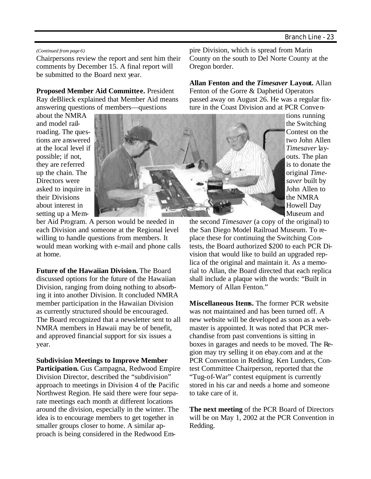#### *(Continued from page 6)*

Chairpersons review the report and sent him their comments by December 15. A final report will be submitted to the Board next year.

**Proposed Member Aid Committee.** President Ray deBlieck explained that Member Aid means answering questions of members—questions

about the NMRA and model railroading. The questions are answered at the local level if possible; if not, they are referred up the chain. The Directors were asked to inquire in their Divisions about interest in setting up a Mem-



ber Aid Program. A person would be needed in each Division and someone at the Regional level willing to handle questions from members. It would mean working with e-mail and phone calls at home.

**Future of the Hawaiian Division.** The Board discussed options for the future of the Hawaiian Division, ranging from doing nothing to absorbing it into another Division. It concluded NMRA member participation in the Hawaiian Division as currently structured should be encouraged. The Board recognized that a newsletter sent to all NMRA members in Hawaii may be of benefit, and approved financial support for six issues a year.

**Subdivision Meetings to Improve Member Participation.** Gus Campagna, Redwood Empire Division Director, described the "subdivision" approach to meetings in Division 4 of the Pacific Northwest Region. He said there were four separate meetings each month at different locations around the division, especially in the winter. The idea is to encourage members to get together in smaller groups closer to home. A similar approach is being considered in the Redwood Empire Division, which is spread from Marin County on the south to Del Norte County at the Oregon border.

**Allan Fenton and the** *Timesaver* **Layout.** Allan Fenton of the Gorre & Daphetid Operators passed away on August 26. He was a regular fixture in the Coast Division and at PCR Conven-

tions running the Switching Contest on the two John Allen *Timesaver* layouts. The plan is to donate the original *Timesaver* built by John Allen to the NMRA Howell Day Museum and

the second *Timesaver* (a copy of the original) to the San Diego Model Railroad Museum. To replace these for continuing the Switching Contests, the Board authorized \$200 to each PCR Division that would like to build an upgraded replica of the original and maintain it. As a memorial to Allan, the Board directed that each replica shall include a plaque with the words: "Built in Memory of Allan Fenton."

**Miscellaneous Items.** The former PCR website was not maintained and has been turned off. A new website will be developed as soon as a webmaster is appointed. It was noted that PCR merchandise from past conventions is sitting in boxes in garages and needs to be moved. The Region may try selling it on ebay.com and at the PCR Convention in Redding. Ken Lunders, Contest Committee Chairperson, reported that the "Tug-of-War" contest equipment is currently stored in his car and needs a home and someone to take care of it.

**The next meeting** of the PCR Board of Directors will be on May 1, 2002 at the PCR Convention in Redding.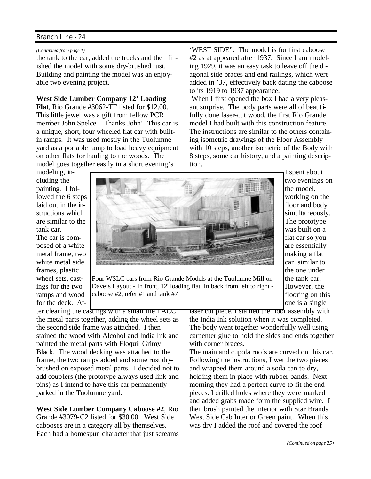#### *(Continued from page 4)*

the tank to the car, added the trucks and then finished the model with some dry-brushed rust. Building and painting the model was an enjoyable two evening project.

#### **West Side Lumber Company 12' Loading**

**Flat**, Rio Grande #3062-TF listed for \$12.00. This little jewel was a gift from fellow PCR member John Spelce – Thanks John! This car is a unique, short, four wheeled flat car with builtin ramps. It was used mostly in the Tuolumne yard as a portable ramp to load heavy equipment on other flats for hauling to the woods. The model goes together easily in a short evening's

'WEST SIDE". The model is for first caboose #2 as at appeared after 1937. Since I am modeling 1929, it was an easy task to leave off the diagonal side braces and end railings, which were added in '37, effectively back dating the caboose to its 1919 to 1937 appearance.

 When I first opened the box I had a very pleasant surprise. The body parts were all of beautifully done laser-cut wood, the first Rio Grande model I had built with this construction feature. The instructions are similar to the others containing isometric drawings of the Floor Assembly with 10 steps, another isometric of the Body with 8 steps, some car history, and a painting description.

> I spent about two evenings on the model, working on the floor and body simultaneously. The prototype was built on a flat car so you are essentially making a flat car similar to the one under the tank car. However, the flooring on this one is a single

modeling, including the painting. I followed the 6 steps laid out in the instructions which are similar to the tank car. The car is com-

posed of a white metal frame, two white metal side frames, plastic wheel sets, castings for the two ramps and wood for the deck. Af-



Four WSLC cars from Rio Grande Models at the Tuolumne Mill on Dave's Layout - In front, 12' loading flat. In back from left to right caboose #2, refer #1 and tank #7

ter cleaning the castings with a small file I ACC the metal parts together, adding the wheel sets as the second side frame was attached. I then stained the wood with Alcohol and India Ink and painted the metal parts with Floquil Grimy Black. The wood decking was attached to the frame, the two ramps added and some rust drybrushed on exposed metal parts. I decided not to add couplers (the prototype always used link and pins) as I intend to have this car permanently parked in the Tuolumne yard.

**West Side Lumber Company Caboose #2**, Rio Grande #3079-C2 listed for \$30.00. West Side cabooses are in a category all by themselves. Each had a homespun character that just screams laser cut piece. I stained the floor assembly with the India Ink solution when it was completed. The body went together wonderfully well using carpenter glue to hold the sides and ends together with corner braces.

The main and cupola roofs are curved on this car. Following the instructions, I wet the two pieces and wrapped them around a soda can to dry, holding them in place with rubber bands. Next morning they had a perfect curve to fit the end pieces. I drilled holes where they were marked and added grabs made form the supplied wire. I then brush painted the interior with Star Brands West Side Cab Interior Green paint. When this was dry I added the roof and covered the roof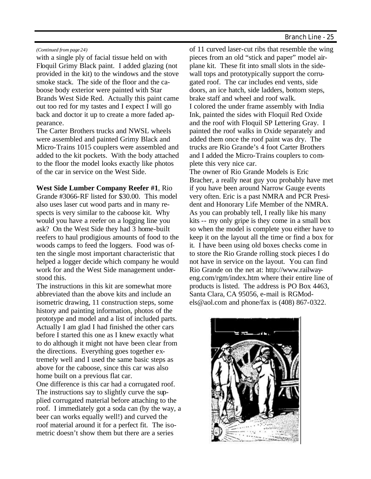#### *(Continued from page 24)*

with a single ply of facial tissue held on with Floquil Grimy Black paint. I added glazing (not provided in the kit) to the windows and the stove smoke stack. The side of the floor and the caboose body exterior were painted with Star Brands West Side Red. Actually this paint came out too red for my tastes and I expect I will go back and doctor it up to create a more faded appearance.

The Carter Brothers trucks and NWSL wheels were assembled and painted Grimy Black and Micro-Trains 1015 couplers were assembled and added to the kit pockets. With the body attached to the floor the model looks exactly like photos of the car in service on the West Side.

**West Side Lumber Company Reefer #1**, Rio Grande #3066-RF listed for \$30.00. This model also uses laser cut wood parts and in many respects is very similar to the caboose kit. Why would you have a reefer on a logging line you ask? On the West Side they had 3 home-built reefers to haul prodigious amounts of food to the woods camps to feed the loggers. Food was often the single most important characteristic that helped a logger decide which company he would work for and the West Side management understood this.

The instructions in this kit are somewhat more abbreviated than the above kits and include an isometric drawing, 11 construction steps, some history and painting information, photos of the prototype and model and a list of included parts. Actually I am glad I had finished the other cars before I started this one as I knew exactly what to do although it might not have been clear from the directions. Everything goes together extremely well and I used the same basic steps as above for the caboose, since this car was also home built on a previous flat car.

One difference is this car had a corrugated roof. The instructions say to slightly curve the supplied corrugated material before attaching to the roof. I immediately got a soda can (by the way, a beer can works equally well!) and curved the roof material around it for a perfect fit. The isometric doesn't show them but there are a series

of 11 curved laser-cut ribs that resemble the wing pieces from an old "stick and paper" model airplane kit. These fit into small slots in the sidewall tops and prototypically support the corrugated roof. The car includes end vents, side doors, an ice hatch, side ladders, bottom steps, brake staff and wheel and roof walk. I colored the under frame assembly with India Ink, painted the sides with Floquil Red Oxide and the roof with Floquil SP Lettering Gray. I painted the roof walks in Oxide separately and added them once the roof paint was dry. The trucks are Rio Grande's 4 foot Carter Brothers and I added the Micro-Trains couplers to complete this very nice car.

The owner of Rio Grande Models is Eric Bracher, a really neat guy you probably have met if you have been around Narrow Gauge events very often. Eric is a past NMRA and PCR President and Honorary Life Member of the NMRA. As you can probably tell, I really like his many kits -- my only gripe is they come in a small box so when the model is complete you either have to keep it on the layout all the time or find a box for it. I have been using old boxes checks come in to store the Rio Grande rolling stock pieces I do not have in service on the layout. You can find Rio Grande on the net at: http://www.railwayeng.com/rgm/index.htm where their entire line of products is listed. The address is PO Box 4463, Santa Clara, CA 95056, e-mail is RGModels@aol.com and phone/fax is (408) 867-0322.

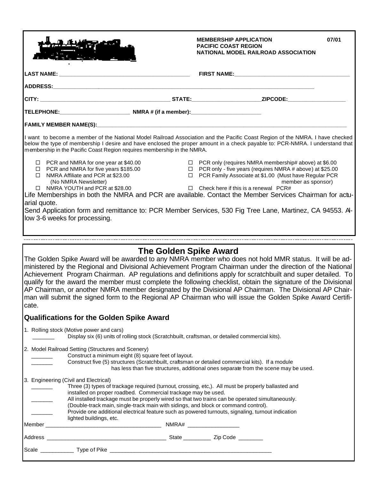|                                                                                                                                                                                                                                                                                                                                          | 07/01<br><b>MEMBERSHIP APPLICATION</b><br><b>PACIFIC COAST REGION</b><br>NATIONAL MODEL RAILROAD ASSOCIATION                                                                                                                                                   |
|------------------------------------------------------------------------------------------------------------------------------------------------------------------------------------------------------------------------------------------------------------------------------------------------------------------------------------------|----------------------------------------------------------------------------------------------------------------------------------------------------------------------------------------------------------------------------------------------------------------|
|                                                                                                                                                                                                                                                                                                                                          |                                                                                                                                                                                                                                                                |
|                                                                                                                                                                                                                                                                                                                                          |                                                                                                                                                                                                                                                                |
|                                                                                                                                                                                                                                                                                                                                          |                                                                                                                                                                                                                                                                |
|                                                                                                                                                                                                                                                                                                                                          |                                                                                                                                                                                                                                                                |
|                                                                                                                                                                                                                                                                                                                                          |                                                                                                                                                                                                                                                                |
| I want to become a member of the National Model Railroad Association and the Pacific Coast Region of the NMRA. I have checked<br>below the type of membership I desire and have enclosed the proper amount in a check payable to: PCR-NMRA. I understand that<br>membership in the Pacific Coast Region requires membership in the NMRA. |                                                                                                                                                                                                                                                                |
| $\Box$ PCR and NMRA for one year at \$40.00<br>$\Box$ PCR and NMRA for five years \$185.00<br>$\Box$ NMRA Affiliate and PCR at \$23.00<br>(No NMRA Newsletter)<br>□ NMRA YOUTH and PCR at \$28.00                                                                                                                                        | $\Box$ PCR only (requires NMRA membership# above) at \$6.00<br>$\Box$ PCR only - five years (requires NMRA # above) at \$25.00<br>□ PCR Family Associate at \$1.00 (Must have Regular PCR<br>member as sponsor)<br>$\Box$ Check here if this is a renewal PCR# |
| Life Memberships in both the NMRA and PCR are available. Contact the Member Services Chairman for actu-<br>arial quote.                                                                                                                                                                                                                  |                                                                                                                                                                                                                                                                |
| Send Application form and remittance to: PCR Member Services, 530 Fig Tree Lane, Martinez, CA 94553. A-<br>low 3-6 weeks for processing.                                                                                                                                                                                                 |                                                                                                                                                                                                                                                                |

#### **The Golden Spike Award**

The Golden Spike Award will be awarded to any NMRA member who does not hold MMR status. It will be administered by the Regional and Divisional Achievement Program Chairman under the direction of the National Achievement Program Chairman. AP regulations and definitions apply for scratchbuilt and super detailed. To qualify for the award the member must complete the following checklist, obtain the signature of the Divisional AP Chairman, or another NMRA member designated by the Divisional AP Chairman. The Divisional AP Chairman will submit the signed form to the Regional AP Chairman who will issue the Golden Spike Award Certificate.

#### **Qualifications for the Golden Spike Award**

1. Rolling stock (Motive power and cars)

|  |  | Display six (6) units of rolling stock (Scratchbuilt, craftsman, or detailed commercial kits). |  |
|--|--|------------------------------------------------------------------------------------------------|--|
|  |  |                                                                                                |  |

2. Model Railroad Setting (Structures and Scenery)

|          | 2. MOGE Railroad Setting (Structures and Scenery)                                                                                 |
|----------|-----------------------------------------------------------------------------------------------------------------------------------|
|          | Construct a minimum eight (8) square feet of layout.                                                                              |
|          | Construct five (5) structures (Scratchbuilt, craftsman or detailed commercial kits). If a module                                  |
|          | has less than five structures, additional ones separate from the scene may be used.                                               |
|          | 3. Engineering (Civil and Electrical)                                                                                             |
|          | Three (3) types of trackage required (turnout, crossing, etc.). All must be properly ballasted and                                |
|          | installed on proper roadbed. Commercial trackage may be used.                                                                     |
|          | All installed trackage must be properly wired so that two trains can be operated simultaneously.                                  |
|          | (Double-track main, single-track main with sidings, and block or command control).                                                |
|          | Provide one additional electrical feature such as powered turnouts, signaling, turnout indication                                 |
|          | lighted buildings, etc.                                                                                                           |
| Member   |                                                                                                                                   |
|          | State Zip Code<br>Address and the contract of the contract of the contract of the contract of the contract of the contract of the |
| Scale __ | <b>Type of Pike Example 20</b>                                                                                                    |
|          |                                                                                                                                   |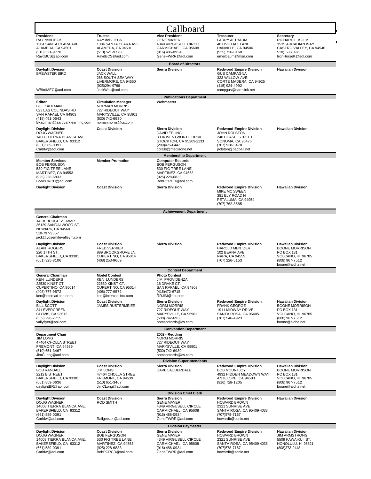|                                                                                                                                                                                                                                                                 |                                                                                                                                                                                     | Callboard                                                                                                                                                                                                                                                   |                                                                                                                                               |                                                                                                                           |
|-----------------------------------------------------------------------------------------------------------------------------------------------------------------------------------------------------------------------------------------------------------------|-------------------------------------------------------------------------------------------------------------------------------------------------------------------------------------|-------------------------------------------------------------------------------------------------------------------------------------------------------------------------------------------------------------------------------------------------------------|-----------------------------------------------------------------------------------------------------------------------------------------------|---------------------------------------------------------------------------------------------------------------------------|
| President<br>RAY deBLIECK<br>1304 SANTA CLARA AVE<br>ALAMEDA, CA 94501<br>(510) 521-9778<br>RaydBCS@aol.com                                                                                                                                                     | <b>Trustee</b><br>RAY deBLIECK<br>1304 SANTA CLARA AVE<br>ALAMEDA, CA 94501<br>(510) 521-9778<br>RaydBCS@aol.com                                                                    | <b>Vice President</b><br><b>GENE MAYER</b><br>4349 VIRGUSELL CIRCLE<br>CARMICHAEL, CA 95608<br>(916) 486-0934<br>GeneFWRR@aol.com                                                                                                                           | <b>Treasurer</b><br>LARRY ALTBAUM<br>40 LIVE OAK LANE<br>DANVILLE, CA 94506<br>(925) 736-8160<br>emerbaum@msn.com                             | Secretary<br>RICHARD L. KOLM<br>3535 ARCADIAN WAY<br>CASTRO VALLEY, CA 94546<br>510) 538-8973<br>IronHorseK@aol.com       |
| <b>Daylight Division</b><br><b>BREWSTER BIRD</b>                                                                                                                                                                                                                | <b>Coast Division</b><br><b>JACK WALL</b><br>266 SOUTH SEA WAY<br>LIVERMORE, CA 94550<br>(925)294-9766                                                                              | <b>Board of Directors</b><br><b>Sierra Division</b>                                                                                                                                                                                                         | <b>Redwood Empire Division</b><br><b>GUS CAMPAGNA</b><br>323 WILLOW AVE.<br>CORTE MADERA, CA 94925<br>(415) 924-4992                          | <b>Hawaiian Division</b>                                                                                                  |
| WBirdMEC@aol.com                                                                                                                                                                                                                                                | JackWall@aol.com                                                                                                                                                                    |                                                                                                                                                                                                                                                             | campgus@earthlink.net                                                                                                                         |                                                                                                                           |
| Editor<br><b>BILL KAUFMAN</b><br>623 LAS COLINDAS RD<br>SAN RAFAEL CA 94903<br>(415) 491-0543<br>Bkaufman@aardvarklearning.com<br><b>Daylight Division</b><br>DOUG WAGNER                                                                                       | <b>Circulation Manager</b><br><b>NORMAN MORRIS</b><br>727 RIDEOUT WAY<br>MARYSVILLE, CA 95901<br>(530) 742-6930<br>nomanmorris@cs.com<br><b>Coast Division</b>                      | <b>Publications Department</b><br>Webmaster<br><b>Sierra Division</b><br><b>DAVID EPLING</b>                                                                                                                                                                | <b>Redwood Empire Division</b><br><b>JOHN ROLSTON</b>                                                                                         | <b>Hawaiian Division</b>                                                                                                  |
| 14008 TIERRA BLANCA AVE.<br>BAKERSFIELD, CA 93312<br>(661) 589-0391<br>Carldw@aol.com                                                                                                                                                                           |                                                                                                                                                                                     | 3034 WENTWORTH DRIVE<br>STOCKTON, CA 95209-2133<br>(209)475-0447<br>ccrails@mediaone.net                                                                                                                                                                    | 240 CHASE STREET<br>SONOMA, CA 95476<br>(707) 938-5478<br>jrolston@pacbell.net                                                                |                                                                                                                           |
| <b>Member Services</b><br><b>BOB FERGUSON</b><br>530 FIG TREE LANE<br>MARTINEZ, CA 94553<br>(925) 228-6833<br>BobPCRCD@aol.com<br><b>Daylight Division</b>                                                                                                      | <b>Member Promotion</b><br><b>Coast Division</b>                                                                                                                                    | <b>Membership Department</b><br><b>Computer Records</b><br><b>BOB FERGUSON</b><br>530 FIG TREE LANE<br>MARTINEZ, CA 94553<br>(925) 228-6833<br>BobPCRCD@aol.com<br><b>Sierra Division</b>                                                                   | <b>Redwood Empire Division</b><br>MIKE MC SWEEN                                                                                               | <b>Hawaiian Division</b>                                                                                                  |
|                                                                                                                                                                                                                                                                 |                                                                                                                                                                                     |                                                                                                                                                                                                                                                             | 381 ELY ROAD N<br>PETALUMA, CA 94954<br>(707) 762-8585                                                                                        |                                                                                                                           |
| <b>General Chairman</b><br><b>JACK BURGESS, MMR</b><br>36129 SANDALWOOD ST.<br>NEWARK, CA 94560<br>510-797-9557<br>jack@yosemitevalleyrr.com                                                                                                                    |                                                                                                                                                                                     | <b>Achievement Department</b>                                                                                                                                                                                                                               |                                                                                                                                               |                                                                                                                           |
| <b>Daylight Division</b><br>ALAN ROGERS<br>220 17TH ST.<br>BAKERSFIELD,,CA 93301<br>$(661)$ 325-8106                                                                                                                                                            | <b>Coast Division</b><br><b>FRED VERRIER</b><br>889 BROOKGROVE LN.<br>CUPERTINO, CA 95014<br>(408) 253-9669                                                                         | <b>Sierra Division</b>                                                                                                                                                                                                                                      | <b>Redwood Empire Division</b><br><b>HAROLD MENTZER</b><br>102 BERNA AVE<br>NAPA, CA 94559<br>(707) 226-5153                                  | <b>Hawaiian Division</b><br><b>BOONE MORRISON</b><br>PO BOX 131<br>VOLCANO, HI 96785<br>(808) 967-7512<br>boone@aloha.net |
|                                                                                                                                                                                                                                                                 |                                                                                                                                                                                     | <b>Contest Department</b>                                                                                                                                                                                                                                   |                                                                                                                                               |                                                                                                                           |
| <b>General Chairman</b><br><b>KEN LUNDERS</b><br>22530 KINST CT.<br>CUPERTINO, CA 95014<br>(408) 777-9572<br>ken@intercad-inc.com<br><b>Daylight Division</b><br><b>BILL SCOTT</b><br>341 EVERGREEN<br>CLOVIS, CA 93612<br>(559) 298-7715<br>vallyflyer@aol.com | <b>Model Contest</b><br><b>KEN LUNDERS</b><br>22530 KINST CT.<br>CUPERTINO, CA 95014<br>(408) 777-9572<br>ken@intercad-inc.com<br><b>Coast Division</b><br><b>JAMES RUSTERMEIER</b> | <b>Photo Contest</b><br><b>JIM PROVIDENZA</b><br>16 DRAKE CT.<br>SAN RAFAEL, CA 94903<br>(415) 472-6715<br>RRJIM@aol.com<br><b>Sierra Division</b><br><b>NORM MORRIS</b><br>727 RIDEOUT WAY<br>MARYSVILLE, CA 95901<br>(530) 742-6930<br>nomanmorris@cs.com | <b>Redwood Empire Division</b><br><b>FRANK GEORGE</b><br>1911 MIDWAY DRIVE<br>SANTA ROSA, CA 95405<br>(707) 546-4923                          | <b>Hawaiian Division</b><br><b>BOONE MORRISON</b><br>PO BOX 131<br>VOLCANO, HI 96785<br>(808) 967-7512<br>boone@aloha.net |
| <b>Department Chair</b><br><b>JIM LONG</b><br>47464 CHOLLA STREET<br>FREMONT, CA 94539<br>(510) 651-3467<br>JimCLong@aol.com                                                                                                                                    |                                                                                                                                                                                     | <b>Convention Department</b><br>2002 - Redding<br><b>NORM MORRIS</b><br>727 RIDEOUT WAY<br>MARYSVILLE, CA 95901<br>(530) 742-6930<br>nomanmorris@cs.com                                                                                                     |                                                                                                                                               |                                                                                                                           |
| <b>Daylight Division</b>                                                                                                                                                                                                                                        | <b>Coast Division</b>                                                                                                                                                               | <b>Division Superintendents</b><br><b>Sierra Division</b>                                                                                                                                                                                                   | <b>Redwood Empire Division</b>                                                                                                                | <b>Hawaiian Division</b>                                                                                                  |
| <b>BOB RANDALL</b><br>2212 B STREET<br>BAKERSFIELD, CA 93301<br>(661) 859-0636<br>daylightBR@aol.com                                                                                                                                                            | <b>JIM LONG</b><br>47464 CHOLLA STREET<br>FREMONT, CA 94539<br>(510) 651-3467<br>JimCLong@aol.com                                                                                   | DAVE LAUDERDALE                                                                                                                                                                                                                                             | <b>BOB MOUNTJOY</b><br>4932 HIDDEN MEADOWN WAY<br>ANTELOPE, CA 94583<br>(916) 728-1205                                                        | <b>BOONE MORRISON</b><br>PO BOX 131<br>VOLCANO, HI 96785<br>(808) 967-7512<br>boone@aloha.net                             |
| <b>Daylight Division</b><br><b>DOUG WAGNER</b><br>14008 TIERRA BLANCA AVE.<br>BAKERSFIELD, CA 93312<br>(661) 589-0391<br>Carldw@aol.com                                                                                                                         | <b>Coast Division</b><br><b>ROD SMITH</b><br>Railgeezer@aol.com                                                                                                                     | <b>Division Chief Clerk</b><br><b>Sierra Division</b><br><b>GENE MAYER</b><br>4349 VIRGUSELL CIRCLE<br>CARMICHAEL, CA 95608<br>(916) 486-0934<br>GeneFWRR@aol.com                                                                                           | <b>Redwood Empire Division</b><br><b>HOWARD BROWN</b><br>2321 SUNRISE AVE<br>SANTA ROSA, CA 95409-4038<br>(707) 578-7167<br>howardb@sonic.net | <b>Hawaiian Division</b>                                                                                                  |
| <b>Daylight Division</b>                                                                                                                                                                                                                                        | <b>Coast Division</b>                                                                                                                                                               | <b>Division Paymaster</b><br><b>Sierra Division</b>                                                                                                                                                                                                         | <b>Redwood Empire Division</b>                                                                                                                | <b>Hawaiian Division</b>                                                                                                  |
| <b>DOUG WAGNER</b><br>14008 TIERRA BLANCA AVE.<br>BAKERSFIELD, CA 93312<br>(661) 589-0391<br>Carldw@aol.com                                                                                                                                                     | <b>BOB FERGUSON</b><br>530 FIG TREE LANE<br>MARTINEZ, CA 94553<br>(925) 228-6833<br>BobPCRCD@aol.com                                                                                | <b>GENE MAYER</b><br>4349 VIRGUSELL CIRCLE<br>CARMICHAEL, CA 95608<br>(916) 486-0934<br>GeneFWRR@aol.com                                                                                                                                                    | <b>HOWARD BROWN</b><br>2321 SUNRISE AVE<br>SANTA ROSA, CA 95409-4038<br>(707) 578-7167<br>howardb@sonic.net                                   | <b>JIM ARMSTRONG</b><br>5509 KAWAIKUI ST.<br>HONOLULU, HI 96821<br>(808) 373-2448                                         |